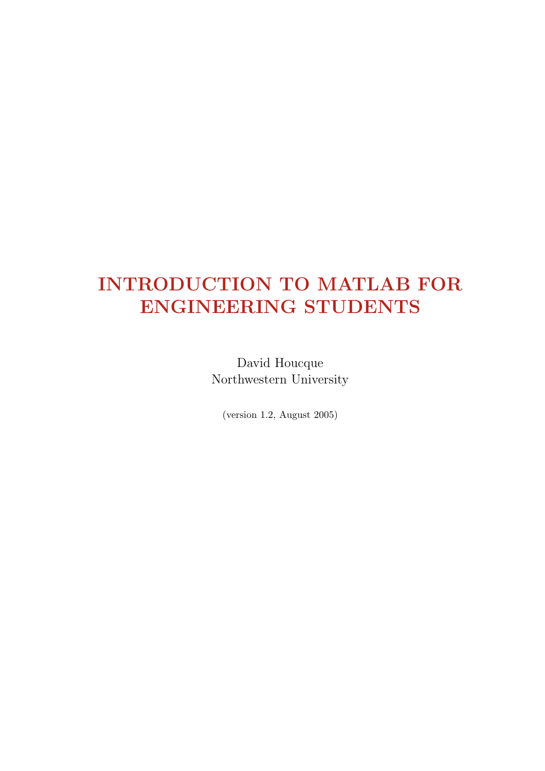# INTRODUCTION TO MATLAB FOR ENGINEERING STUDENTS

David Houcque Northwestern University

(version 1.2, August 2005)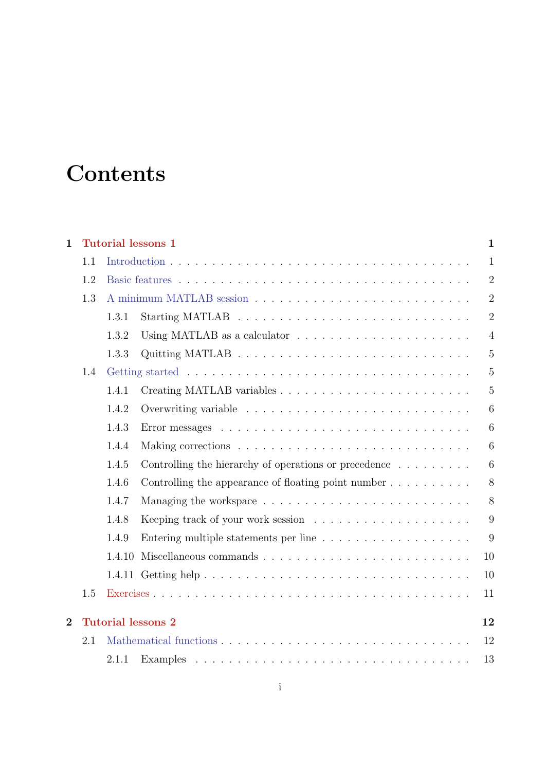# **Contents**

| $\mathbf{1}$   |     | <b>Tutorial lessons 1</b> |                                                                         | $\mathbf{1}$   |
|----------------|-----|---------------------------|-------------------------------------------------------------------------|----------------|
|                | 1.1 |                           |                                                                         | $\mathbf{1}$   |
|                | 1.2 |                           |                                                                         | $\overline{2}$ |
|                | 1.3 |                           |                                                                         | $\overline{2}$ |
|                |     | 1.3.1                     |                                                                         | $\overline{2}$ |
|                |     | 1.3.2                     |                                                                         | $\overline{4}$ |
|                |     | 1.3.3                     |                                                                         | $\overline{5}$ |
|                | 1.4 |                           |                                                                         | $\overline{5}$ |
|                |     | 1.4.1                     |                                                                         | $\overline{5}$ |
|                |     | 1.4.2                     |                                                                         | 6              |
|                |     | 1.4.3                     |                                                                         | 6              |
|                |     | 1.4.4                     |                                                                         | 6              |
|                |     | 1.4.5                     | Controlling the hierarchy of operations or precedence $\dots \dots$     | 6              |
|                |     | 1.4.6                     | Controlling the appearance of floating point number $\dots \dots \dots$ | 8              |
|                |     | 1.4.7                     |                                                                         | 8              |
|                |     | 1.4.8                     |                                                                         | 9              |
|                |     | 1.4.9                     |                                                                         | 9              |
|                |     | 1.4.10                    |                                                                         | 10             |
|                |     |                           |                                                                         | 10             |
|                | 1.5 |                           |                                                                         | 11             |
| $\overline{2}$ |     | <b>Tutorial lessons 2</b> |                                                                         | 12             |
|                | 2.1 |                           |                                                                         | 12             |
|                |     | 2.1.1                     |                                                                         | 13             |
|                |     |                           |                                                                         |                |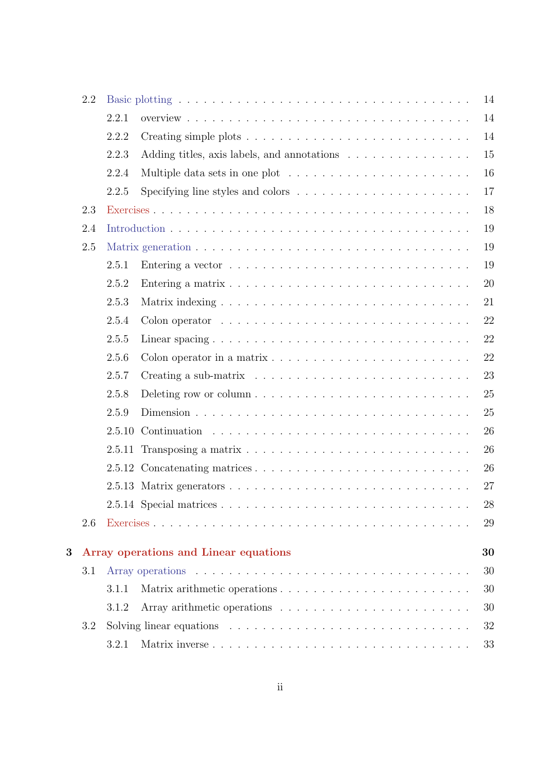|   | 2.2 |        | 14                                                                                              |
|---|-----|--------|-------------------------------------------------------------------------------------------------|
|   |     | 2.2.1  | 14                                                                                              |
|   |     | 2.2.2  | 14                                                                                              |
|   |     | 2.2.3  | 15<br>Adding titles, axis labels, and annotations                                               |
|   |     | 2.2.4  | 16                                                                                              |
|   |     | 2.2.5  | 17<br>Specifying line styles and colors $\dots \dots \dots \dots \dots \dots \dots$             |
|   | 2.3 |        | 18                                                                                              |
|   | 2.4 |        | 19                                                                                              |
|   | 2.5 |        | 19                                                                                              |
|   |     | 2.5.1  | 19                                                                                              |
|   |     | 2.5.2  | 20                                                                                              |
|   |     | 2.5.3  | 21                                                                                              |
|   |     | 2.5.4  | 22                                                                                              |
|   |     | 2.5.5  | 22                                                                                              |
|   |     | 2.5.6  | 22<br>Colon operator in a matrix $\dots \dots \dots \dots \dots \dots \dots \dots \dots$        |
|   |     | 2.5.7  | 23                                                                                              |
|   |     | 2.5.8  | 25                                                                                              |
|   |     | 2.5.9  | 25                                                                                              |
|   |     | 2.5.10 | 26                                                                                              |
|   |     | 2.5.11 | 26                                                                                              |
|   |     |        | 26                                                                                              |
|   |     |        | 27                                                                                              |
|   |     |        | 28                                                                                              |
|   | 2.6 |        | 29                                                                                              |
|   |     |        |                                                                                                 |
| 3 |     |        | Array operations and Linear equations<br>30                                                     |
|   | 3.1 |        | 30                                                                                              |
|   |     | 3.1.1  | 30                                                                                              |
|   |     | 3.1.2  | 30                                                                                              |
|   | 3.2 |        | 32<br>Solving linear equations $\ldots \ldots \ldots \ldots \ldots \ldots \ldots \ldots \ldots$ |
|   |     | 3.2.1  | 33                                                                                              |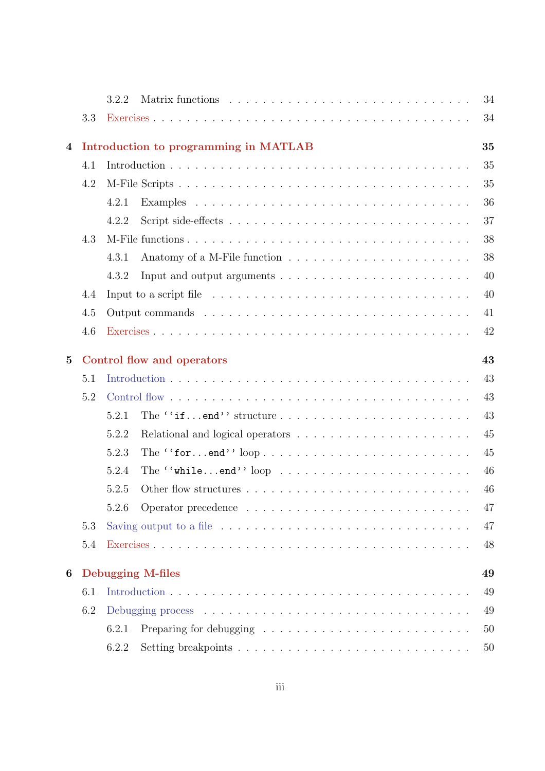|                 |     | 34<br>3.2.2                                                                                                   |  |
|-----------------|-----|---------------------------------------------------------------------------------------------------------------|--|
|                 | 3.3 | 34                                                                                                            |  |
| $\overline{4}$  |     | 35<br>Introduction to programming in MATLAB                                                                   |  |
|                 | 4.1 | 35                                                                                                            |  |
|                 | 4.2 | 35                                                                                                            |  |
|                 |     | 36<br>4.2.1                                                                                                   |  |
|                 |     | 37<br>4.2.2                                                                                                   |  |
|                 | 4.3 | 38                                                                                                            |  |
|                 |     | 38<br>4.3.1                                                                                                   |  |
|                 |     | 40<br>4.3.2                                                                                                   |  |
|                 | 4.4 | 40                                                                                                            |  |
|                 | 4.5 | 41                                                                                                            |  |
|                 | 4.6 | 42                                                                                                            |  |
| $5\overline{)}$ |     | Control flow and operators<br>43                                                                              |  |
|                 | 5.1 | 43                                                                                                            |  |
|                 | 5.2 | 43                                                                                                            |  |
|                 |     | 43<br>5.2.1                                                                                                   |  |
|                 |     | 45<br>5.2.2                                                                                                   |  |
|                 |     | 5.2.3<br>45                                                                                                   |  |
|                 |     | 46<br>5.2.4<br>The $``\text{while} \dots \text{end}''$ loop $\dots \dots \dots \dots \dots \dots \dots \dots$ |  |
|                 |     | 5.2.5<br>46                                                                                                   |  |
|                 |     | 47<br>5.2.6                                                                                                   |  |
|                 | 5.3 | Saving output to a file $\ldots \ldots \ldots \ldots \ldots \ldots \ldots \ldots \ldots \ldots$<br>47         |  |
|                 | 5.4 | 48                                                                                                            |  |
| 6               |     | <b>Debugging M-files</b><br>49                                                                                |  |
|                 | 6.1 | 49                                                                                                            |  |
|                 | 6.2 | 49                                                                                                            |  |
|                 |     | 6.2.1<br>50                                                                                                   |  |
|                 |     | 6.2.2<br>50                                                                                                   |  |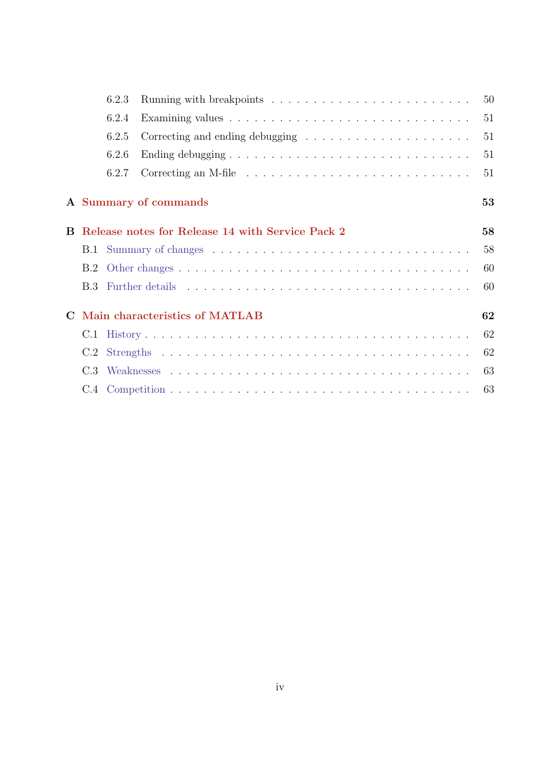|             |     | 6.2.3 |                                                                             | 50 |
|-------------|-----|-------|-----------------------------------------------------------------------------|----|
|             |     | 6.2.4 |                                                                             | 51 |
|             |     | 6.2.5 | Correcting and ending debugging $\dots \dots \dots \dots \dots \dots \dots$ | 51 |
|             |     | 6.2.6 |                                                                             | 51 |
|             |     | 6.2.7 |                                                                             | 51 |
|             |     |       | A Summary of commands                                                       | 53 |
|             |     |       | <b>B</b> Release notes for Release 14 with Service Pack 2                   | 58 |
|             |     |       |                                                                             | 58 |
|             |     |       |                                                                             | 60 |
|             |     |       |                                                                             | 60 |
| $\mathbf C$ |     |       | Main characteristics of MATLAB                                              | 62 |
|             |     |       |                                                                             | 62 |
|             |     |       |                                                                             | 62 |
|             | C.3 |       |                                                                             | 63 |
|             |     |       |                                                                             | 63 |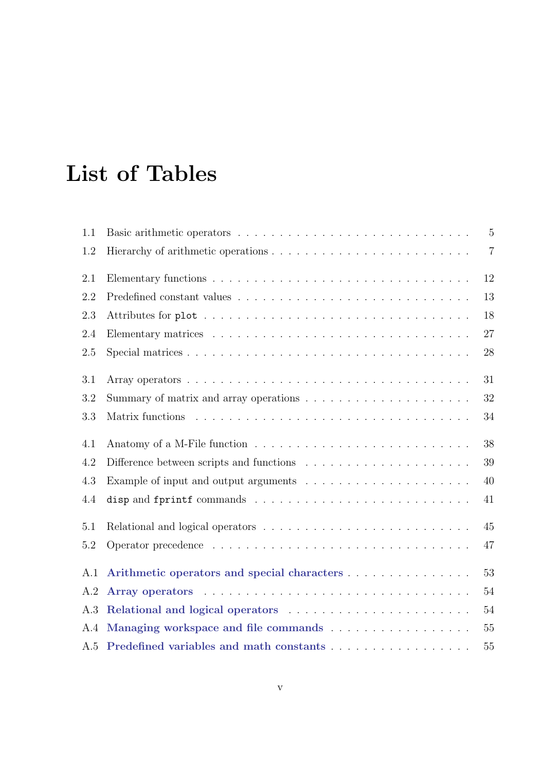# List of Tables

| 1.1 |                                             | $\overline{5}$ |
|-----|---------------------------------------------|----------------|
| 1.2 |                                             | $\overline{7}$ |
| 2.1 |                                             | 12             |
| 2.2 |                                             | 13             |
| 2.3 |                                             | 18             |
| 2.4 |                                             | 27             |
| 2.5 |                                             | 28             |
| 3.1 |                                             | 31             |
| 3.2 |                                             | 32             |
| 3.3 |                                             | 34             |
| 4.1 |                                             | 38             |
| 4.2 |                                             | 39             |
| 4.3 |                                             | 40             |
| 4.4 |                                             | 41             |
| 5.1 |                                             | 45             |
| 5.2 |                                             | 47             |
| A.1 | Arithmetic operators and special characters | 53             |
| A.2 |                                             | 54             |
| A.3 |                                             | 54             |
| A.4 |                                             | 55             |
|     | A.5 Predefined variables and math constants | 55             |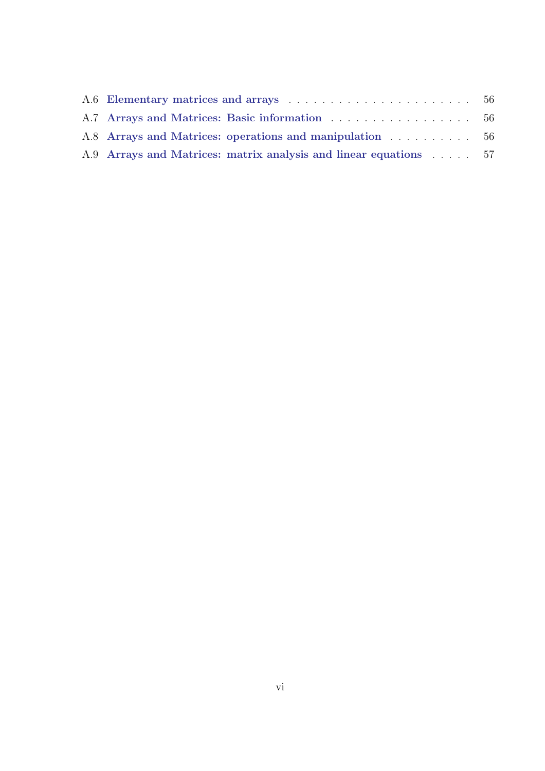| A.8 Arrays and Matrices: operations and manipulation  56         |  |
|------------------------------------------------------------------|--|
| A.9 Arrays and Matrices: matrix analysis and linear equations 57 |  |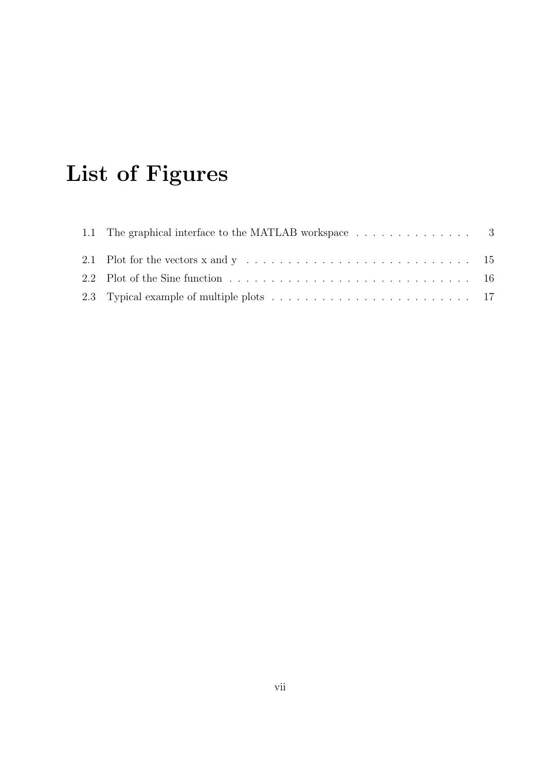# List of Figures

| 1.1 The graphical interface to the MATLAB workspace 3 |  |
|-------------------------------------------------------|--|
|                                                       |  |
|                                                       |  |
|                                                       |  |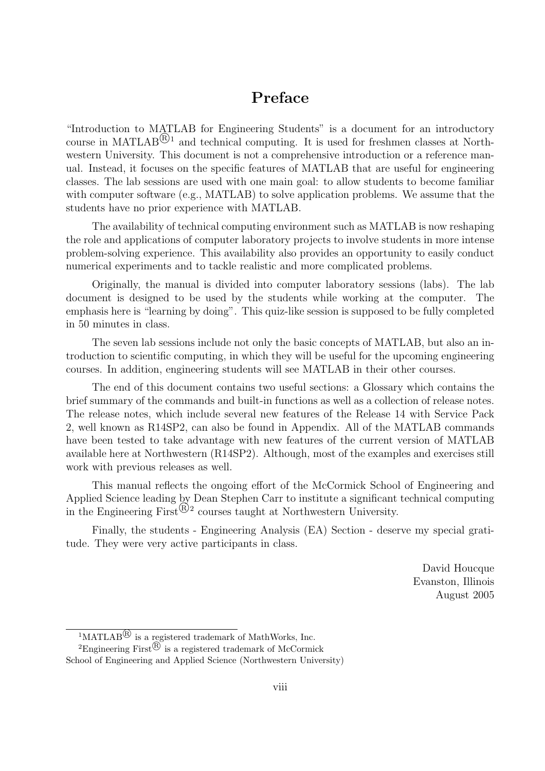### Preface

"Introduction to MATLAB for Engineering Students" is a document for an introductory course in MATLAB ${}^{\textcircled{R}1}$  and technical computing. It is used for freshmen classes at Northwestern University. This document is not a comprehensive introduction or a reference manual. Instead, it focuses on the specific features of MATLAB that are useful for engineering classes. The lab sessions are used with one main goal: to allow students to become familiar with computer software (e.g., MATLAB) to solve application problems. We assume that the students have no prior experience with MATLAB.

The availability of technical computing environment such as MATLAB is now reshaping the role and applications of computer laboratory projects to involve students in more intense problem-solving experience. This availability also provides an opportunity to easily conduct numerical experiments and to tackle realistic and more complicated problems.

Originally, the manual is divided into computer laboratory sessions (labs). The lab document is designed to be used by the students while working at the computer. The emphasis here is "learning by doing". This quiz-like session is supposed to be fully completed in 50 minutes in class.

The seven lab sessions include not only the basic concepts of MATLAB, but also an introduction to scientific computing, in which they will be useful for the upcoming engineering courses. In addition, engineering students will see MATLAB in their other courses.

The end of this document contains two useful sections: a Glossary which contains the brief summary of the commands and built-in functions as well as a collection of release notes. The release notes, which include several new features of the Release 14 with Service Pack 2, well known as R14SP2, can also be found in Appendix. All of the MATLAB commands have been tested to take advantage with new features of the current version of MATLAB available here at Northwestern (R14SP2). Although, most of the examples and exercises still work with previous releases as well.

This manual reflects the ongoing effort of the McCormick School of Engineering and Applied Science leading by Dean Stephen Carr to institute a significant technical computing in the Engineering First<sup> $\overline{\textcircled{B}}$ </sup> courses taught at Northwestern University.

Finally, the students - Engineering Analysis (EA) Section - deserve my special gratitude. They were very active participants in class.

> David Houcque Evanston, Illinois August 2005

 $\sqrt[1]{\text{MATLAB}^{\textcircled{R}}}$  is a registered trademark of MathWorks, Inc.

<sup>&</sup>lt;sup>2</sup>Engineering First<sup>®</sup> is a registered trademark of McCormick School of Engineering and Applied Science (Northwestern University)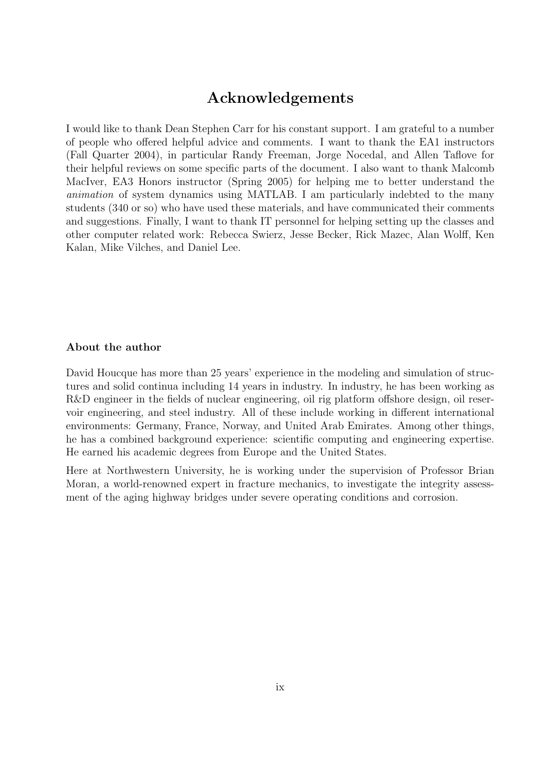### Acknowledgements

I would like to thank Dean Stephen Carr for his constant support. I am grateful to a number of people who offered helpful advice and comments. I want to thank the EA1 instructors (Fall Quarter 2004), in particular Randy Freeman, Jorge Nocedal, and Allen Taflove for their helpful reviews on some specific parts of the document. I also want to thank Malcomb MacIver, EA3 Honors instructor (Spring 2005) for helping me to better understand the animation of system dynamics using MATLAB. I am particularly indebted to the many students (340 or so) who have used these materials, and have communicated their comments and suggestions. Finally, I want to thank IT personnel for helping setting up the classes and other computer related work: Rebecca Swierz, Jesse Becker, Rick Mazec, Alan Wolff, Ken Kalan, Mike Vilches, and Daniel Lee.

#### About the author

David Houcque has more than 25 years' experience in the modeling and simulation of structures and solid continua including 14 years in industry. In industry, he has been working as R&D engineer in the fields of nuclear engineering, oil rig platform offshore design, oil reservoir engineering, and steel industry. All of these include working in different international environments: Germany, France, Norway, and United Arab Emirates. Among other things, he has a combined background experience: scientific computing and engineering expertise. He earned his academic degrees from Europe and the United States.

Here at Northwestern University, he is working under the supervision of Professor Brian Moran, a world-renowned expert in fracture mechanics, to investigate the integrity assessment of the aging highway bridges under severe operating conditions and corrosion.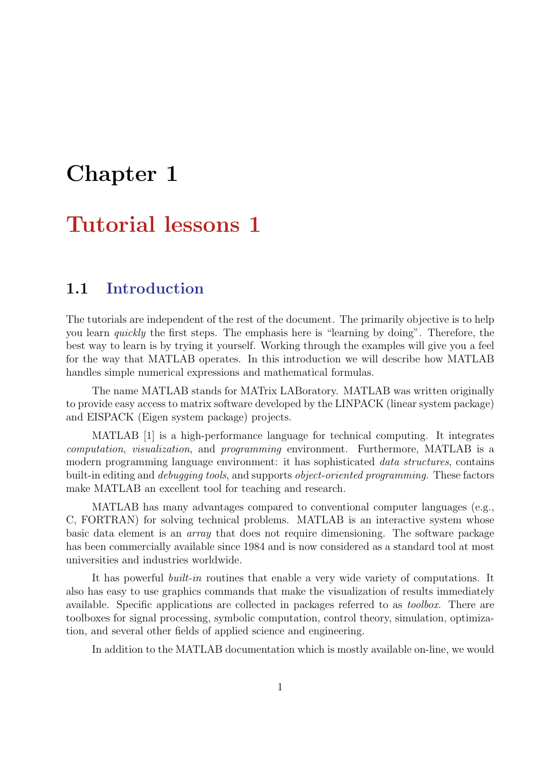# Chapter 1

## Tutorial lessons 1

### 1.1 Introduction

The tutorials are independent of the rest of the document. The primarily objective is to help you learn quickly the first steps. The emphasis here is "learning by doing". Therefore, the best way to learn is by trying it yourself. Working through the examples will give you a feel for the way that MATLAB operates. In this introduction we will describe how MATLAB handles simple numerical expressions and mathematical formulas.

The name MATLAB stands for MATrix LABoratory. MATLAB was written originally to provide easy access to matrix software developed by the LINPACK (linear system package) and EISPACK (Eigen system package) projects.

MATLAB [1] is a high-performance language for technical computing. It integrates computation, visualization, and programming environment. Furthermore, MATLAB is a modern programming language environment: it has sophisticated *data structures*, contains built-in editing and *debugging tools*, and supports *object-oriented programming*. These factors make MATLAB an excellent tool for teaching and research.

MATLAB has many advantages compared to conventional computer languages (e.g., C, FORTRAN) for solving technical problems. MATLAB is an interactive system whose basic data element is an array that does not require dimensioning. The software package has been commercially available since 1984 and is now considered as a standard tool at most universities and industries worldwide.

It has powerful built-in routines that enable a very wide variety of computations. It also has easy to use graphics commands that make the visualization of results immediately available. Specific applications are collected in packages referred to as toolbox. There are toolboxes for signal processing, symbolic computation, control theory, simulation, optimization, and several other fields of applied science and engineering.

In addition to the MATLAB documentation which is mostly available on-line, we would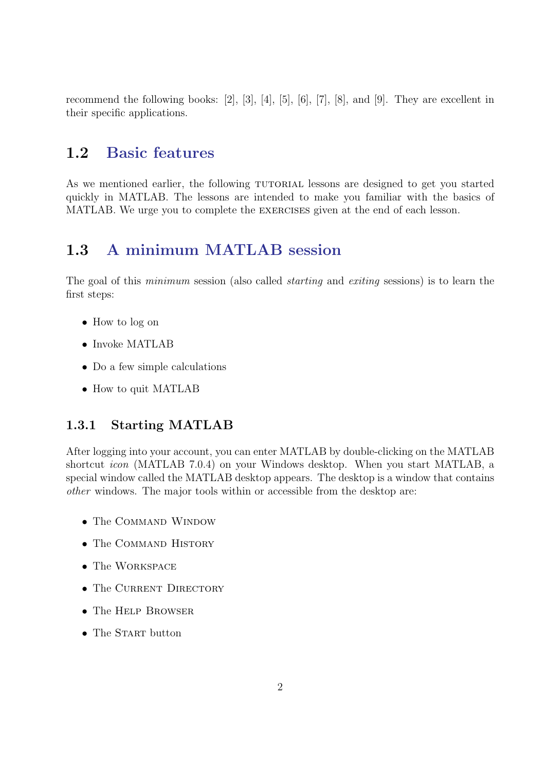recommend the following books: [2], [3], [4], [5], [6], [7], [8], and [9]. They are excellent in their specific applications.

### 1.2 Basic features

As we mentioned earlier, the following TUTORIAL lessons are designed to get you started quickly in MATLAB. The lessons are intended to make you familiar with the basics of MATLAB. We urge you to complete the exercises given at the end of each lesson.

### 1.3 A minimum MATLAB session

The goal of this minimum session (also called starting and exiting sessions) is to learn the first steps:

- How to log on
- Invoke MATLAB
- Do a few simple calculations
- How to quit MATLAB

### 1.3.1 Starting MATLAB

After logging into your account, you can enter MATLAB by double-clicking on the MATLAB shortcut icon (MATLAB 7.0.4) on your Windows desktop. When you start MATLAB, a special window called the MATLAB desktop appears. The desktop is a window that contains other windows. The major tools within or accessible from the desktop are:

- The COMMAND WINDOW
- The COMMAND HISTORY
- The WORKSPACE
- The CURRENT DIRECTORY
- The HELP BROWSER
- The START button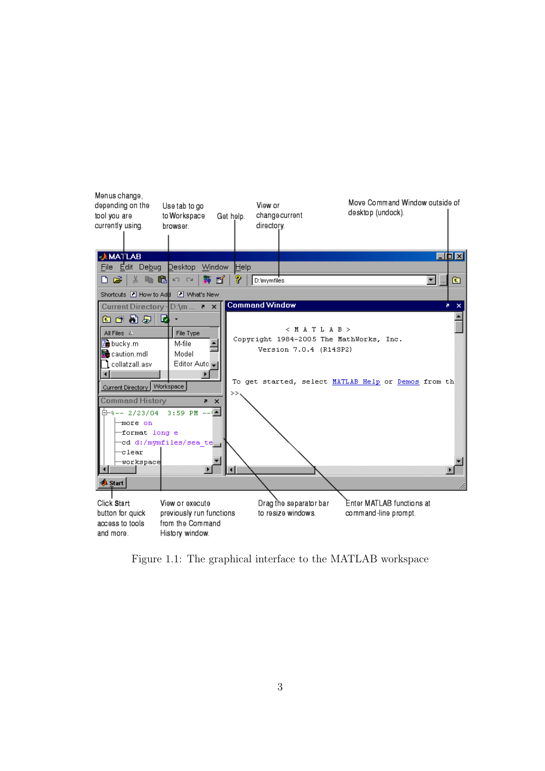

Figure 1.1: The graphical interface to the MATLAB workspace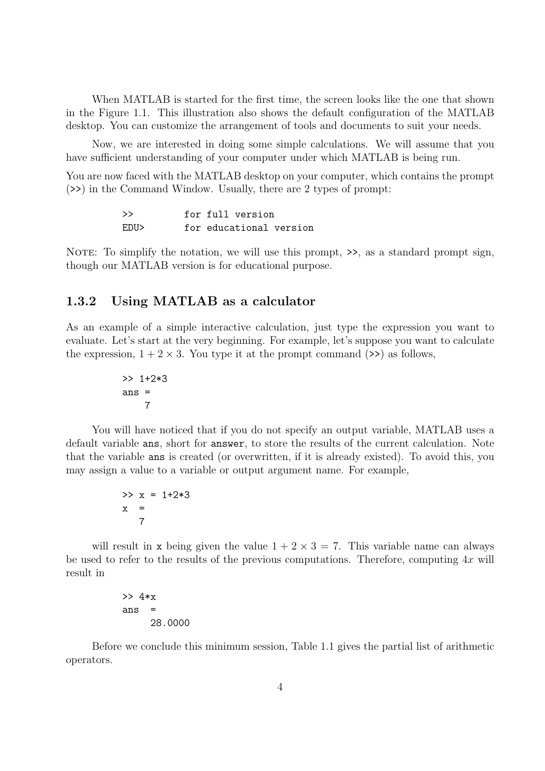When MATLAB is started for the first time, the screen looks like the one that shown in the Figure 1.1. This illustration also shows the default configuration of the MATLAB desktop. You can customize the arrangement of tools and documents to suit your needs.

Now, we are interested in doing some simple calculations. We will assume that you have sufficient understanding of your computer under which MATLAB is being run.

You are now faced with the MATLAB desktop on your computer, which contains the prompt (>>) in the Command Window. Usually, there are 2 types of prompt:

| >>   | for full version        |
|------|-------------------------|
| EDU> | for educational version |

NOTE: To simplify the notation, we will use this prompt,  $\geq$ , as a standard prompt sign, though our MATLAB version is for educational purpose.

### 1.3.2 Using MATLAB as a calculator

As an example of a simple interactive calculation, just type the expression you want to evaluate. Let's start at the very beginning. For example, let's suppose you want to calculate the expression,  $1 + 2 \times 3$ . You type it at the prompt command  $(>)$  as follows,

$$
\begin{array}{r} >> 1+2*3 \\ \text{ans} = 7 \end{array}
$$

You will have noticed that if you do not specify an output variable, MATLAB uses a default variable ans, short for answer, to store the results of the current calculation. Note that the variable ans is created (or overwritten, if it is already existed). To avoid this, you may assign a value to a variable or output argument name. For example,

$$
>> x = 1+2*3
$$
  

$$
x = 7
$$

will result in x being given the value  $1 + 2 \times 3 = 7$ . This variable name can always be used to refer to the results of the previous computations. Therefore, computing  $4x$  will result in

> >> 4\*x ans  $=$ 28.0000

Before we conclude this minimum session, Table 1.1 gives the partial list of arithmetic operators.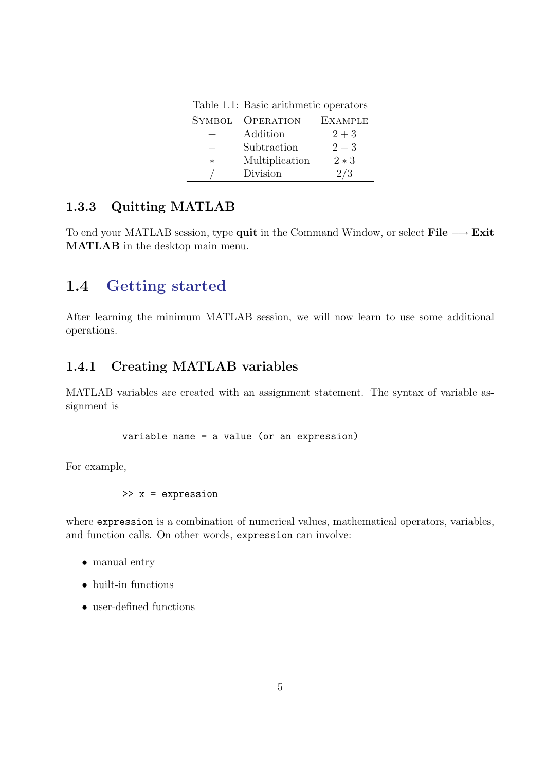| <b>SYMBOL</b> | <b>OPERATION</b> | <b>EXAMPLE</b> |
|---------------|------------------|----------------|
| $^+$          | Addition         | $2 + 3$        |
|               | Subtraction      | $2 - 3$        |
| $\ast$        | Multiplication   | $2*3$          |
|               | Division         | 2/3            |

Table 1.1: Basic arithmetic operators

### 1.3.3 Quitting MATLAB

To end your MATLAB session, type quit in the Command Window, or select File  $\longrightarrow$  Exit MATLAB in the desktop main menu.

### 1.4 Getting started

After learning the minimum MATLAB session, we will now learn to use some additional operations.

### 1.4.1 Creating MATLAB variables

MATLAB variables are created with an assignment statement. The syntax of variable assignment is

variable name = a value (or an expression)

For example,

$$
\Rightarrow x = expression
$$

where expression is a combination of numerical values, mathematical operators, variables, and function calls. On other words, expression can involve:

- manual entry
- built-in functions
- user-defined functions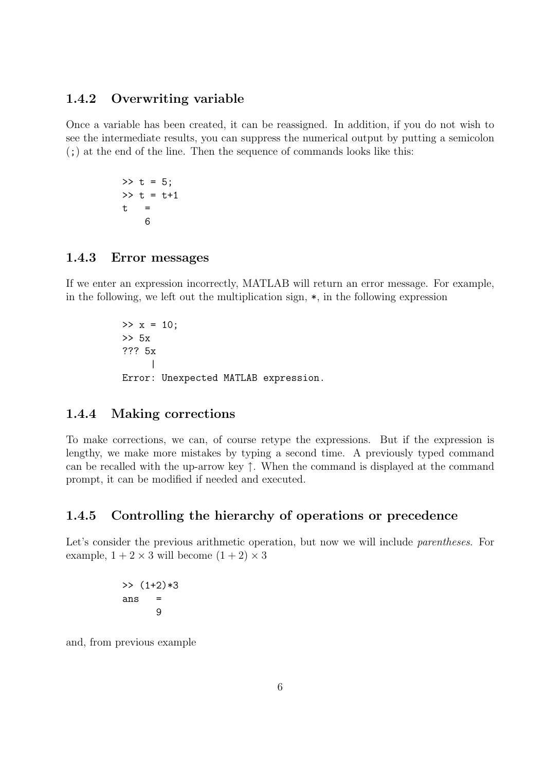### 1.4.2 Overwriting variable

Once a variable has been created, it can be reassigned. In addition, if you do not wish to see the intermediate results, you can suppress the numerical output by putting a semicolon (;) at the end of the line. Then the sequence of commands looks like this:

> $>> t = 5$ ;  $>> t = t+1$  $t =$ 6

### 1.4.3 Error messages

If we enter an expression incorrectly, MATLAB will return an error message. For example, in the following, we left out the multiplication sign,  $\ast$ , in the following expression

> $>> x = 10;$ >> 5x ??? 5x | Error: Unexpected MATLAB expression.

#### 1.4.4 Making corrections

To make corrections, we can, of course retype the expressions. But if the expression is lengthy, we make more mistakes by typing a second time. A previously typed command can be recalled with the up-arrow key ↑. When the command is displayed at the command prompt, it can be modified if needed and executed.

### 1.4.5 Controlling the hierarchy of operations or precedence

Let's consider the previous arithmetic operation, but now we will include *parentheses*. For example,  $1 + 2 \times 3$  will become  $(1 + 2) \times 3$ 

> $\gg$  (1+2)\*3 ans = 9

and, from previous example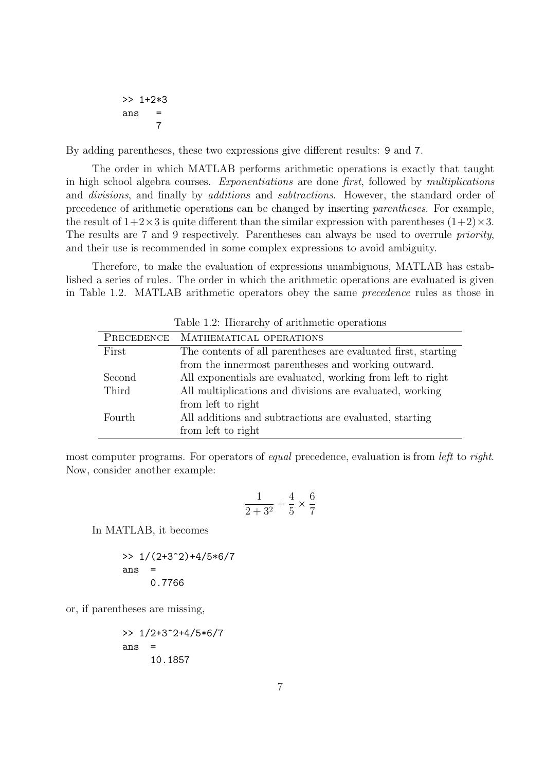>> 1+2\*3 ans = 7

By adding parentheses, these two expressions give different results: 9 and 7.

The order in which MATLAB performs arithmetic operations is exactly that taught in high school algebra courses. Exponentiations are done first, followed by multiplications and divisions, and finally by additions and subtractions. However, the standard order of precedence of arithmetic operations can be changed by inserting parentheses. For example, the result of  $1+2\times3$  is quite different than the similar expression with parentheses  $(1+2)\times3$ . The results are 7 and 9 respectively. Parentheses can always be used to overrule priority, and their use is recommended in some complex expressions to avoid ambiguity.

Therefore, to make the evaluation of expressions unambiguous, MATLAB has established a series of rules. The order in which the arithmetic operations are evaluated is given in Table 1.2. MATLAB arithmetic operators obey the same precedence rules as those in

| PRECEDENCE | MATHEMATICAL OPERATIONS                                       |
|------------|---------------------------------------------------------------|
| First      | The contents of all parentheses are evaluated first, starting |
|            | from the innermost parentheses and working outward.           |
| Second     | All exponentials are evaluated, working from left to right    |
| Third      | All multiplications and divisions are evaluated, working      |
|            | from left to right                                            |
| Fourth     | All additions and subtractions are evaluated, starting        |
|            | from left to right                                            |

Table 1.2: Hierarchy of arithmetic operations

most computer programs. For operators of equal precedence, evaluation is from *left* to *right*. Now, consider another example:

$$
\frac{1}{2+3^2}+\frac{4}{5}\times \frac{6}{7}
$$

In MATLAB, it becomes

>> 
$$
1/(2+3^2)+4/5*6/7
$$
  
ans = 0.7766

or, if parentheses are missing,

>> 
$$
1/2+3^2+4/5*6/7
$$
  
ans =  
10.1857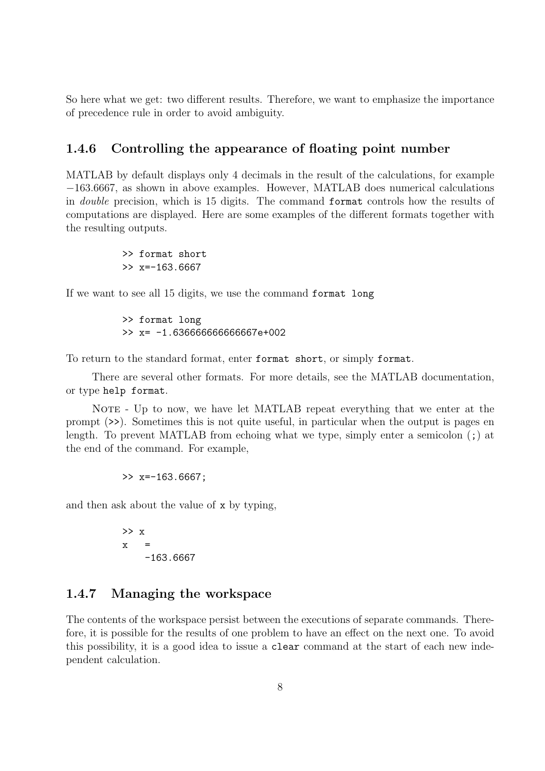So here what we get: two different results. Therefore, we want to emphasize the importance of precedence rule in order to avoid ambiguity.

### 1.4.6 Controlling the appearance of floating point number

MATLAB by default displays only 4 decimals in the result of the calculations, for example −163.6667, as shown in above examples. However, MATLAB does numerical calculations in double precision, which is 15 digits. The command format controls how the results of computations are displayed. Here are some examples of the different formats together with the resulting outputs.

> >> format short  $\gg$  x=-163.6667

If we want to see all 15 digits, we use the command format long

>> format long >> x= -1.636666666666667e+002

To return to the standard format, enter format short, or simply format.

There are several other formats. For more details, see the MATLAB documentation, or type help format.

NOTE - Up to now, we have let MATLAB repeat everything that we enter at the prompt (>>). Sometimes this is not quite useful, in particular when the output is pages en length. To prevent MATLAB from echoing what we type, simply enter a semicolon (;) at the end of the command. For example,

 $\gg$  x=-163.6667:

and then ask about the value of x by typing,

>> x  $\mathbf x$ -163.6667

#### 1.4.7 Managing the workspace

The contents of the workspace persist between the executions of separate commands. Therefore, it is possible for the results of one problem to have an effect on the next one. To avoid this possibility, it is a good idea to issue a clear command at the start of each new independent calculation.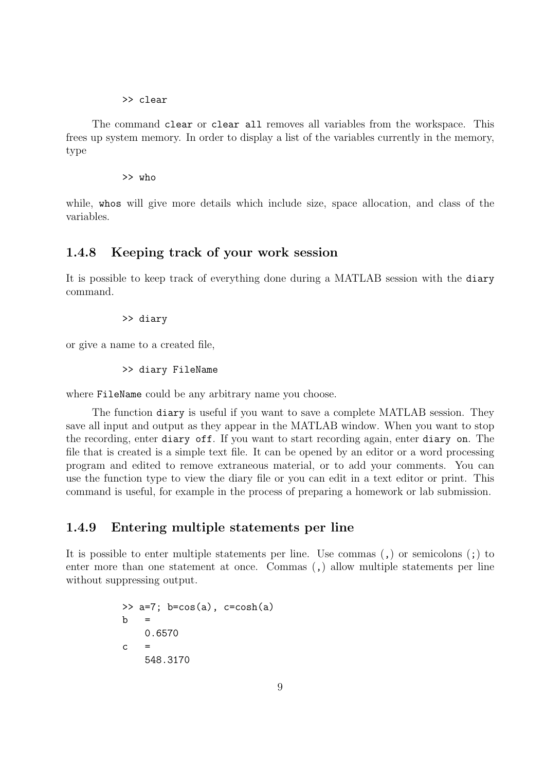#### >> clear

The command clear or clear all removes all variables from the workspace. This frees up system memory. In order to display a list of the variables currently in the memory, type

>> who

while, whos will give more details which include size, space allocation, and class of the variables.

#### 1.4.8 Keeping track of your work session

It is possible to keep track of everything done during a MATLAB session with the diary command.

>> diary

or give a name to a created file,

>> diary FileName

where FileName could be any arbitrary name you choose.

The function diary is useful if you want to save a complete MATLAB session. They save all input and output as they appear in the MATLAB window. When you want to stop the recording, enter diary off. If you want to start recording again, enter diary on. The file that is created is a simple text file. It can be opened by an editor or a word processing program and edited to remove extraneous material, or to add your comments. You can use the function type to view the diary file or you can edit in a text editor or print. This command is useful, for example in the process of preparing a homework or lab submission.

#### 1.4.9 Entering multiple statements per line

It is possible to enter multiple statements per line. Use commas (,) or semicolons (;) to enter more than one statement at once. Commas (,) allow multiple statements per line without suppressing output.

```
\Rightarrow a=7; b=cos(a), c=cosh(a)
<sub>b</sub></sub>
      0.6570
c =548.3170
```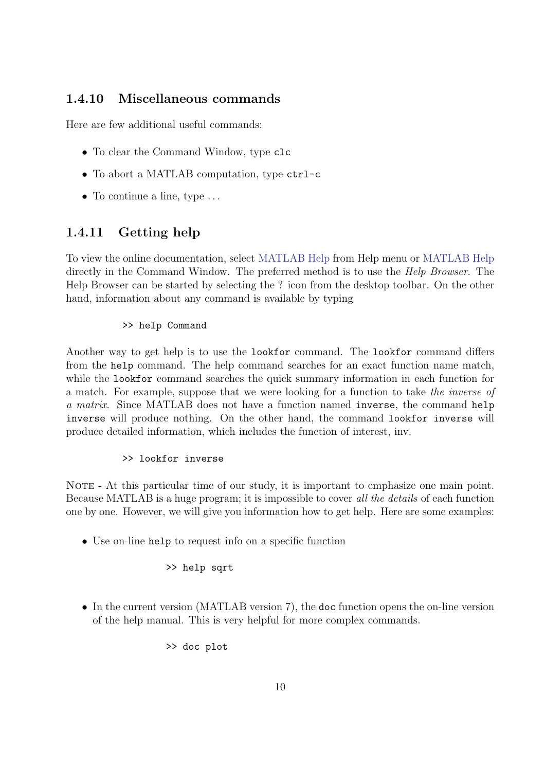### 1.4.10 Miscellaneous commands

Here are few additional useful commands:

- To clear the Command Window, type clc
- To abort a MATLAB computation, type ctrl-c
- To continue a line, type  $\dots$

### 1.4.11 Getting help

To view the online documentation, select MATLAB Help from Help menu or MATLAB Help directly in the Command Window. The preferred method is to use the *Help Browser*. The Help Browser can be started by selecting the ? icon from the desktop toolbar. On the other hand, information about any command is available by typing

#### >> help Command

Another way to get help is to use the lookfor command. The lookfor command differs from the help command. The help command searches for an exact function name match, while the lookfor command searches the quick summary information in each function for a match. For example, suppose that we were looking for a function to take the inverse of a matrix. Since MATLAB does not have a function named inverse, the command help inverse will produce nothing. On the other hand, the command lookfor inverse will produce detailed information, which includes the function of interest, inv.

#### >> lookfor inverse

NOTE - At this particular time of our study, it is important to emphasize one main point. Because MATLAB is a huge program; it is impossible to cover all the details of each function one by one. However, we will give you information how to get help. Here are some examples:

• Use on-line help to request info on a specific function

#### >> help sqrt

• In the current version (MATLAB version 7), the doc function opens the on-line version of the help manual. This is very helpful for more complex commands.

>> doc plot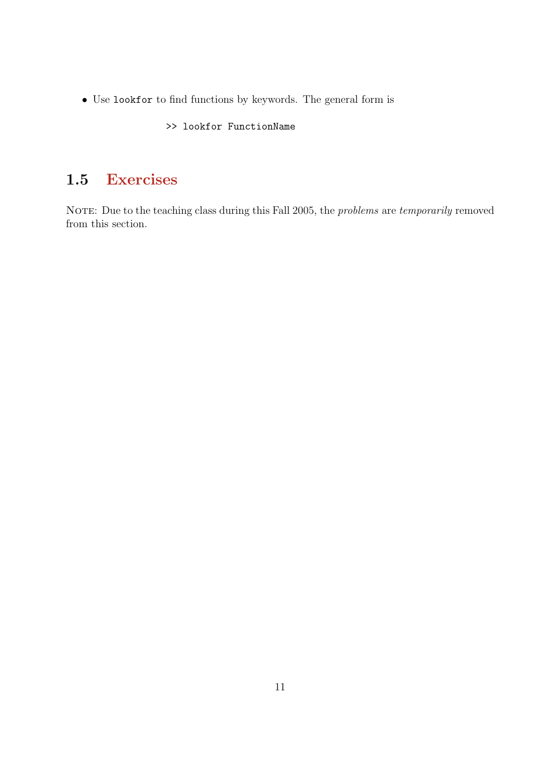• Use lookfor to find functions by keywords. The general form is

>> lookfor FunctionName

### 1.5 Exercises

NOTE: Due to the teaching class during this Fall 2005, the *problems* are *temporarily* removed from this section.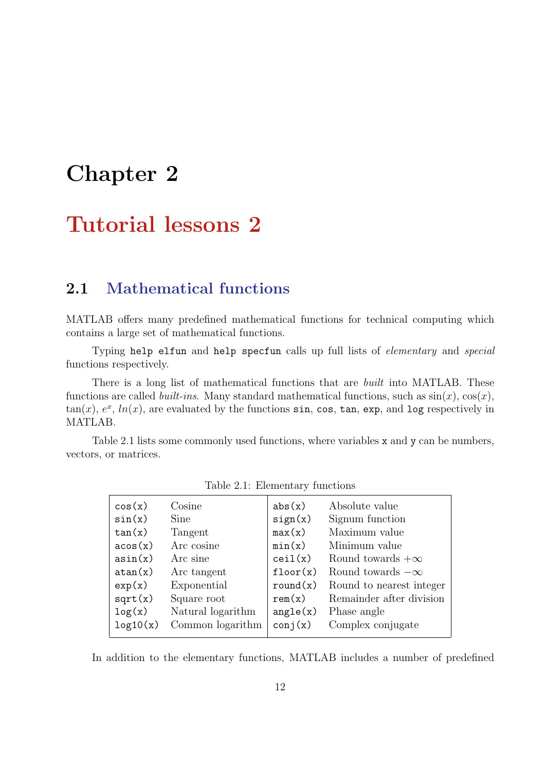# Chapter 2

# Tutorial lessons 2

### 2.1 Mathematical functions

MATLAB offers many predefined mathematical functions for technical computing which contains a large set of mathematical functions.

Typing help elfun and help specfun calls up full lists of elementary and special functions respectively.

There is a long list of mathematical functions that are *built* into MATLAB. These functions are called *built-ins*. Many standard mathematical functions, such as  $sin(x)$ ,  $cos(x)$ ,  $tan(x), e<sup>x</sup>, ln(x),$  are evaluated by the functions  $sin, cos, tan, exp, and log respectively in$ MATLAB.

Table 2.1 lists some commonly used functions, where variables x and y can be numbers, vectors, or matrices.

|          | $\ldots$          |          |                          |
|----------|-------------------|----------|--------------------------|
| cos(x)   | Cosine            | abs(x)   | Absolute value           |
| sin(x)   | Sine              | sign(x)  | Signum function          |
| tan(x)   | Tangent           | max(x)   | Maximum value            |
| acos(x)  | Arc cosine        | min(x)   | Minimum value            |
| asin(x)  | Arc sine          | ceil(x)  | Round towards $+\infty$  |
| atan(x)  | Arc tangent       | floor(x) | Round towards $-\infty$  |
| exp(x)   | Exponential       | round(x) | Round to nearest integer |
| sqrt(x)  | Square root       | rem(x)   | Remainder after division |
| log(x)   | Natural logarithm | angle(x) | Phase angle              |
| log10(x) | Common logarithm  | conj(x)  | Complex conjugate        |
|          |                   |          |                          |

Table 2.1: Elementary functions

In addition to the elementary functions, MATLAB includes a number of predefined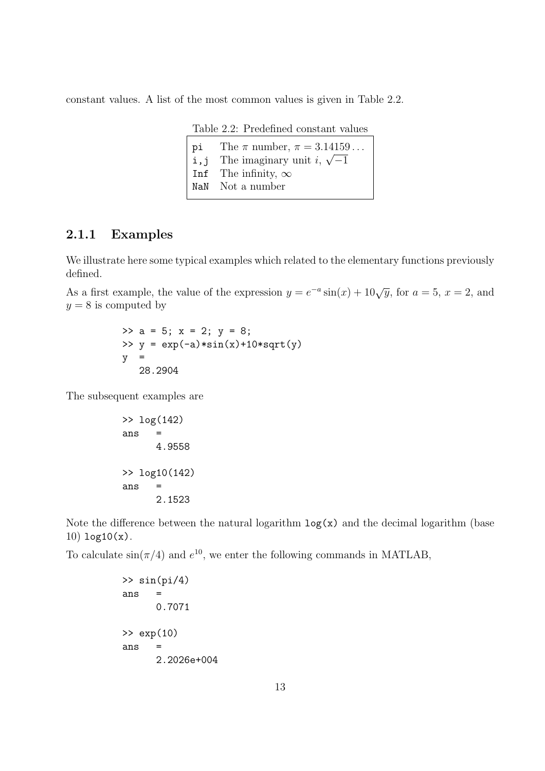constant values. A list of the most common values is given in Table 2.2.

Table 2.2: Predefined constant values

pi The  $\pi$  number,  $\pi = 3.14159...$ **i**, j The imaginary unit i,  $\sqrt{-1}$ Inf The infinity,  $\infty$ NaN Not a number

#### 2.1.1 Examples

We illustrate here some typical examples which related to the elementary functions previously defined.

As a first example, the value of the expression  $y = e^{-a} \sin(x) + 10\sqrt{y}$ , for  $a = 5$ ,  $x = 2$ , and  $y = 8$  is computed by

> $\Rightarrow$  a = 5; x = 2; y = 8; >>  $y = exp(-a) * sin(x) + 10 * sqrt(y)$  $y =$ 28.2904

The subsequent examples are

```
>> log(142)
ans =
      4.9558
>> log10(142)
ans =
      2.1523
```
Note the difference between the natural logarithm  $log(x)$  and the decimal logarithm (base 10) log10(x).

To calculate  $\sin(\pi/4)$  and  $e^{10}$ , we enter the following commands in MATLAB,

```
\gg sin(pi/4)
ans =
      0.7071
>> exp(10)
ans =
      2.2026e+004
```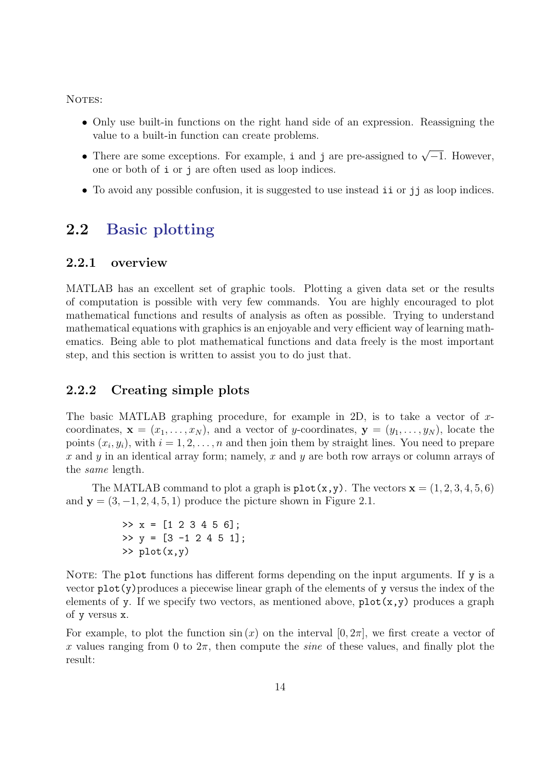NOTES:

- Only use built-in functions on the right hand side of an expression. Reassigning the value to a built-in function can create problems.
- There are some exceptions. For example, i and j are pre-assigned to  $\sqrt{-1}$ . However, one or both of i or j are often used as loop indices.
- To avoid any possible confusion, it is suggested to use instead ii or jj as loop indices.

### 2.2 Basic plotting

#### 2.2.1 overview

MATLAB has an excellent set of graphic tools. Plotting a given data set or the results of computation is possible with very few commands. You are highly encouraged to plot mathematical functions and results of analysis as often as possible. Trying to understand mathematical equations with graphics is an enjoyable and very efficient way of learning mathematics. Being able to plot mathematical functions and data freely is the most important step, and this section is written to assist you to do just that.

### 2.2.2 Creating simple plots

The basic MATLAB graphing procedure, for example in 2D, is to take a vector of  $x$ coordinates,  $\mathbf{x} = (x_1, \ldots, x_N)$ , and a vector of y-coordinates,  $\mathbf{y} = (y_1, \ldots, y_N)$ , locate the points  $(x_i, y_i)$ , with  $i = 1, 2, \ldots, n$  and then join them by straight lines. You need to prepare  $x$  and  $y$  in an identical array form; namely,  $x$  and  $y$  are both row arrays or column arrays of the same length.

The MATLAB command to plot a graph is  $plot(x, y)$ . The vectors  $x = (1, 2, 3, 4, 5, 6)$ and  $y = (3, -1, 2, 4, 5, 1)$  produce the picture shown in Figure 2.1.

> $\Rightarrow$  x = [1 2 3 4 5 6];  $\Rightarrow$  y = [3 -1 2 4 5 1];  $\gg$  plot $(x,y)$

NOTE: The plot functions has different forms depending on the input arguments. If y is a vector  $plot(y)$  produces a piecewise linear graph of the elements of y versus the index of the elements of y. If we specify two vectors, as mentioned above,  $plot(x,y)$  produces a graph of y versus x.

For example, to plot the function  $\sin(x)$  on the interval  $[0, 2\pi]$ , we first create a vector of x values ranging from 0 to  $2\pi$ , then compute the *sine* of these values, and finally plot the result: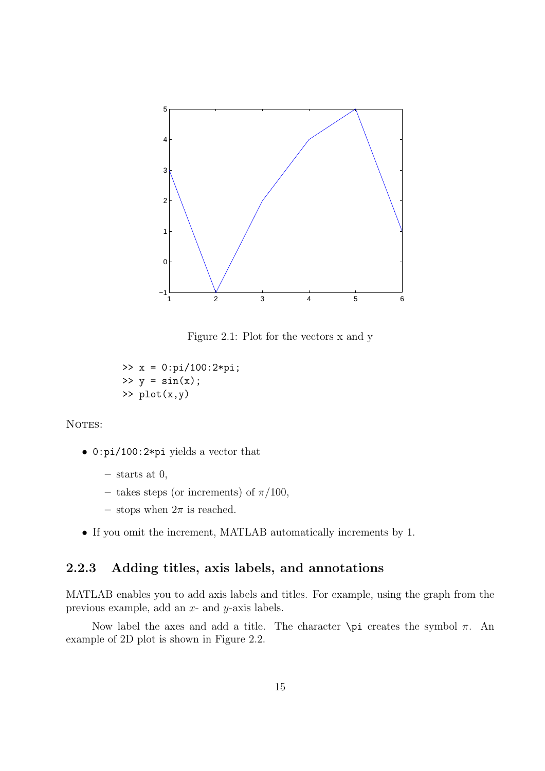

Figure 2.1: Plot for the vectors x and y

>> x = 0:pi/100:2\*pi;  $\gg$  y = sin(x); >> plot(x,y)

NOTES:

- 0:pi/100:2\*pi yields a vector that
	- $-$  starts at 0,
	- takes steps (or increments) of  $\pi/100$ ,
	- stops when  $2\pi$  is reached.
- If you omit the increment, MATLAB automatically increments by 1.

### 2.2.3 Adding titles, axis labels, and annotations

MATLAB enables you to add axis labels and titles. For example, using the graph from the previous example, add an x- and y-axis labels.

Now label the axes and add a title. The character  $\pi$  creates the symbol π. An example of 2D plot is shown in Figure 2.2.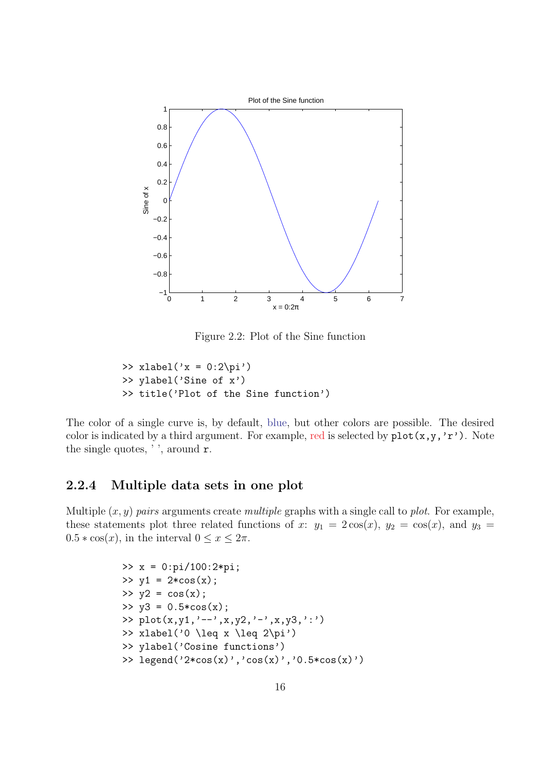

Figure 2.2: Plot of the Sine function

>> xlabel('x = 0:2\pi') >> ylabel('Sine of x') >> title('Plot of the Sine function')

The color of a single curve is, by default, blue, but other colors are possible. The desired color is indicated by a third argument. For example, red is selected by  $plot(x,y,'r')$ . Note the single quotes, ' ', around r.

### 2.2.4 Multiple data sets in one plot

Multiple  $(x, y)$  pairs arguments create multiple graphs with a single call to plot. For example, these statements plot three related functions of x:  $y_1 = 2\cos(x)$ ,  $y_2 = \cos(x)$ , and  $y_3 =$  $0.5 * \cos(x)$ , in the interval  $0 \le x \le 2\pi$ .

```
>> x = 0:pi/100:2*pi;\gg y1 = 2*cos(x);
>> y2 = cos(x);>> y3 = 0.5 * cos(x);>> plot(x,y1,'--',x,y2,'-',x,y3,':')
>> xlabel('0 \leq x \leq 2\pi')
>> ylabel('Cosine functions')
>> legend('2*cos(x)','cos(x)','0.5*cos(x)')
```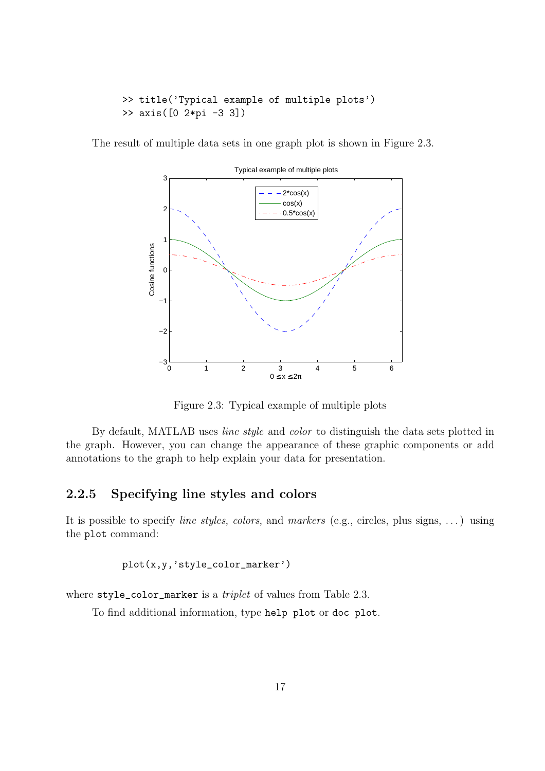```
>> title('Typical example of multiple plots')
>> axis([0 2*pi -3 3])
```
The result of multiple data sets in one graph plot is shown in Figure 2.3.



Figure 2.3: Typical example of multiple plots

By default, MATLAB uses line style and color to distinguish the data sets plotted in the graph. However, you can change the appearance of these graphic components or add annotations to the graph to help explain your data for presentation.

### 2.2.5 Specifying line styles and colors

It is possible to specify *line styles, colors,* and *markers* (e.g., circles, plus signs, ...) using the plot command:

plot(x,y,'style\_color\_marker')

where style\_color\_marker is a *triplet* of values from Table 2.3.

To find additional information, type help plot or doc plot.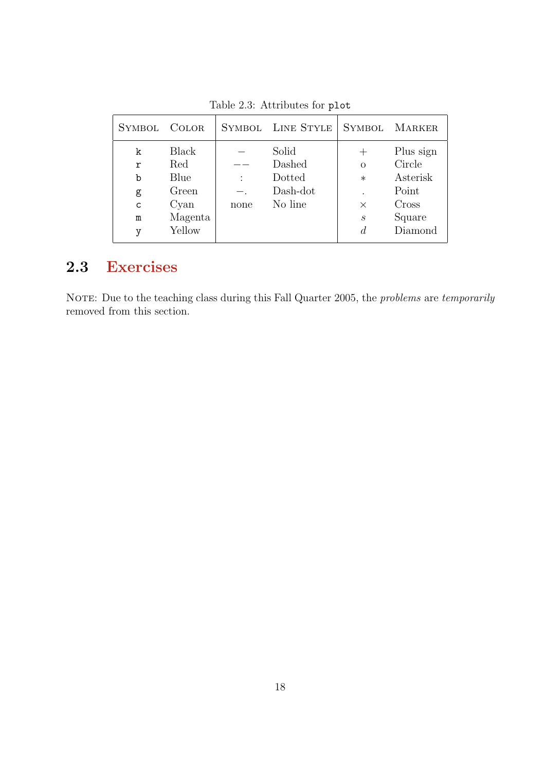| Solid<br><b>Black</b><br>k                                                                                                                                                                                           | Plus sign                                                 |
|----------------------------------------------------------------------------------------------------------------------------------------------------------------------------------------------------------------------|-----------------------------------------------------------|
| Dashed<br>Red<br>r<br>$\Omega$<br>Dotted<br>Blue<br>b<br>$\ast$<br>Dash-dot<br>Green<br>g<br>No line<br>Cyan<br>$\mathbf C$<br>$\times$<br>none<br>Magenta<br>$\boldsymbol{s}$<br>m<br>Yellow<br>$\overline{d}$<br>v | Circle<br>Asterisk<br>Point<br>Cross<br>Square<br>Diamond |

Table 2.3: Attributes for plot

### 2.3 Exercises

NOTE: Due to the teaching class during this Fall Quarter 2005, the *problems* are *temporarily* removed from this section.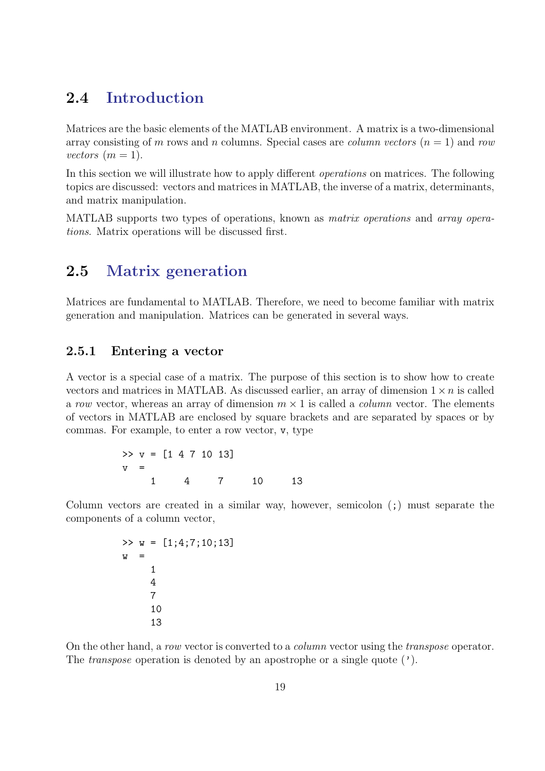### 2.4 Introduction

Matrices are the basic elements of the MATLAB environment. A matrix is a two-dimensional array consisting of m rows and n columns. Special cases are *column vectors*  $(n = 1)$  and row vectors  $(m = 1)$ .

In this section we will illustrate how to apply different *operations* on matrices. The following topics are discussed: vectors and matrices in MATLAB, the inverse of a matrix, determinants, and matrix manipulation.

MATLAB supports two types of operations, known as matrix operations and array operations. Matrix operations will be discussed first.

### 2.5 Matrix generation

Matrices are fundamental to MATLAB. Therefore, we need to become familiar with matrix generation and manipulation. Matrices can be generated in several ways.

### 2.5.1 Entering a vector

A vector is a special case of a matrix. The purpose of this section is to show how to create vectors and matrices in MATLAB. As discussed earlier, an array of dimension  $1 \times n$  is called a row vector, whereas an array of dimension  $m \times 1$  is called a *column* vector. The elements of vectors in MATLAB are enclosed by square brackets and are separated by spaces or by commas. For example, to enter a row vector, v, type

>> 
$$
v = [1 4 7 10 13]
$$
  
\n $v =$   
\n1 4 7 10 13  
\n10 13

Column vectors are created in a similar way, however, semicolon (;) must separate the components of a column vector,

>> 
$$
w = [1; 4; 7; 10; 13]
$$
  
\n $w =$   
\n1  
\n4  
\n7  
\n10  
\n13

On the other hand, a row vector is converted to a column vector using the transpose operator. The *transpose* operation is denoted by an apostrophe or a single quote  $(')$ .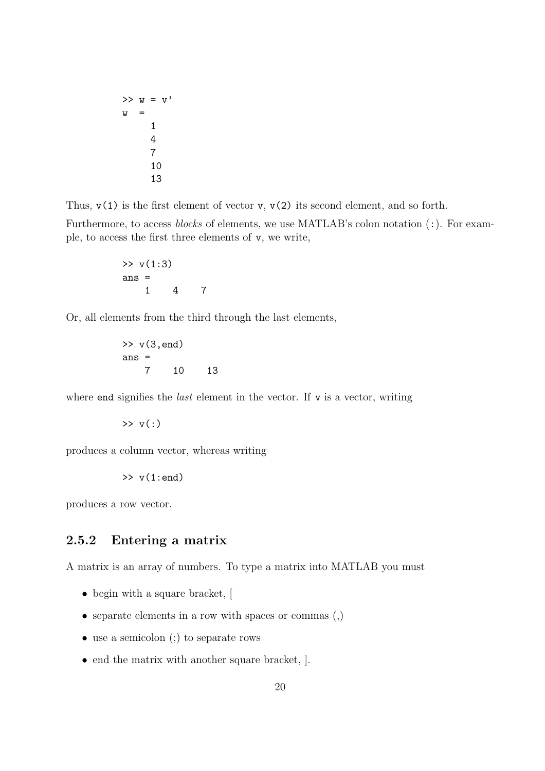$$
x = \frac{1}{2}
$$
  
\n
$$
x = \frac{1}{4}
$$
  
\n
$$
x = \frac{1}{4}
$$
  
\n
$$
x = \frac{1}{4}
$$
  
\n
$$
x = \frac{1}{4}
$$
  
\n
$$
x = \frac{1}{4}
$$
  
\n
$$
x = \frac{1}{4}
$$
  
\n
$$
x = \frac{1}{4}
$$
  
\n
$$
x = \frac{1}{4}
$$
  
\n
$$
x = \frac{1}{4}
$$
  
\n
$$
x = \frac{1}{4}
$$
  
\n
$$
x = \frac{1}{4}
$$
  
\n
$$
x = \frac{1}{4}
$$
  
\n
$$
x = \frac{1}{4}
$$
  
\n
$$
x = \frac{1}{4}
$$
  
\n
$$
x = \frac{1}{4}
$$

Thus,  $v(1)$  is the first element of vector v,  $v(2)$  its second element, and so forth.

Furthermore, to access *blocks* of elements, we use MATLAB's colon notation (:). For example, to access the first three elements of v, we write,

>> 
$$
v(1:3)
$$
  
ans = 1 4 7

Or, all elements from the third through the last elements,

>> 
$$
v(3, end)
$$
  
ans = 7 10 13

where end signifies the *last* element in the vector. If  $\bf{v}$  is a vector, writing

$$
\gg v(:)
$$

produces a column vector, whereas writing

$$
\gt\!\!>\verb|v(1:end)|
$$

produces a row vector.

### 2.5.2 Entering a matrix

A matrix is an array of numbers. To type a matrix into MATLAB you must

- begin with a square bracket, [
- separate elements in a row with spaces or commas (,)
- use a semicolon (;) to separate rows
- end the matrix with another square bracket,  $\vert$ .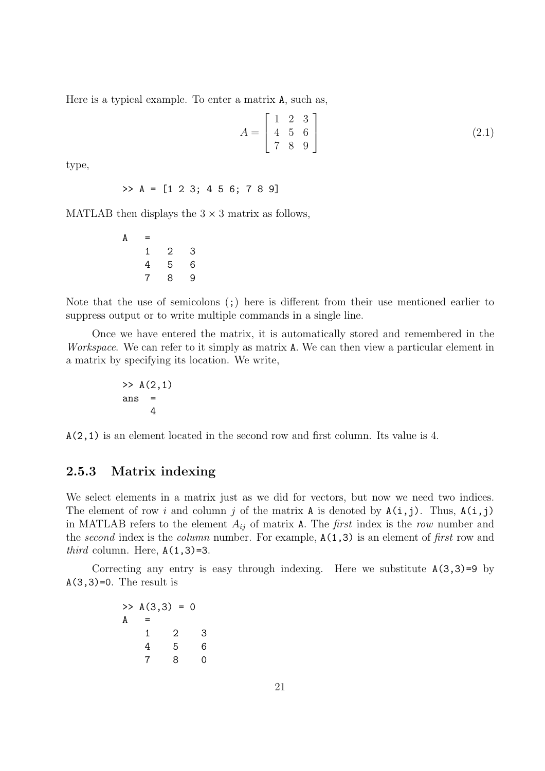Here is a typical example. To enter a matrix A, such as,

$$
A = \begin{bmatrix} 1 & 2 & 3 \\ 4 & 5 & 6 \\ 7 & 8 & 9 \end{bmatrix}
$$
 (2.1)

type,

$$
\Rightarrow A = [1 \ 2 \ 3; \ 4 \ 5 \ 6; \ 7 \ 8 \ 9]
$$

MATLAB then displays the  $3 \times 3$  matrix as follows,

 $A =$ 1 2 3 4 5 6 7 8 9

Note that the use of semicolons (;) here is different from their use mentioned earlier to suppress output or to write multiple commands in a single line.

Once we have entered the matrix, it is automatically stored and remembered in the Workspace. We can refer to it simply as matrix A. We can then view a particular element in a matrix by specifying its location. We write,

$$
\begin{array}{rcl} >> & A(2,1) \\ \text{ans} &=& \\ &4 \end{array}
$$

A(2,1) is an element located in the second row and first column. Its value is 4.

### 2.5.3 Matrix indexing

We select elements in a matrix just as we did for vectors, but now we need two indices. The element of row i and column j of the matrix A is denoted by  $A(i, j)$ . Thus,  $A(i, j)$ in MATLAB refers to the element  $A_{ij}$  of matrix A. The *first* index is the row number and the second index is the column number. For example,  $A(1,3)$  is an element of first row and *third* column. Here,  $A(1,3)=3$ .

Correcting any entry is easy through indexing. Here we substitute  $A(3,3)=9$  by  $A(3,3)=0$ . The result is

|   |   | $\gg A(3,3) = 0$ |     |
|---|---|------------------|-----|
| А | = |                  |     |
|   | 1 | 2                | 3   |
|   | 4 | 5                | 6   |
|   |   | 8                | ( ) |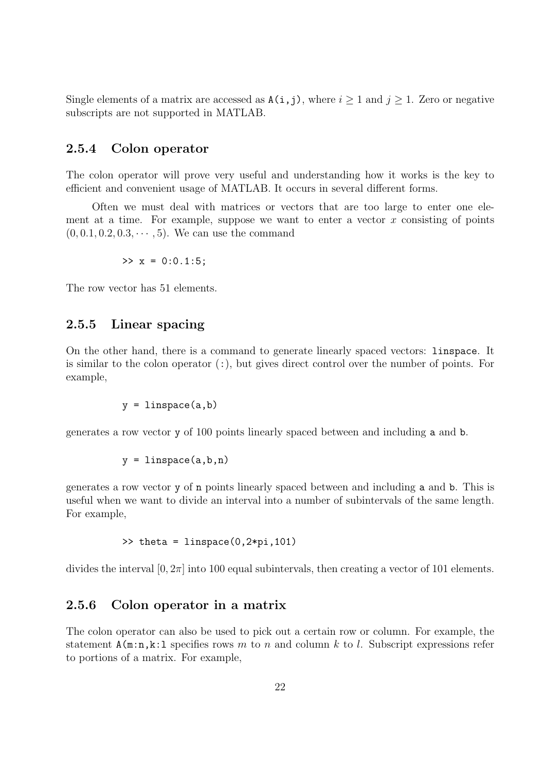Single elements of a matrix are accessed as  $A(i, j)$ , where  $i \ge 1$  and  $j \ge 1$ . Zero or negative subscripts are not supported in MATLAB.

### 2.5.4 Colon operator

The colon operator will prove very useful and understanding how it works is the key to efficient and convenient usage of MATLAB. It occurs in several different forms.

Often we must deal with matrices or vectors that are too large to enter one element at a time. For example, suppose we want to enter a vector  $x$  consisting of points  $(0, 0.1, 0.2, 0.3, \dots, 5)$ . We can use the command

>> 
$$
x = 0:0.1:5;
$$

The row vector has 51 elements.

### 2.5.5 Linear spacing

On the other hand, there is a command to generate linearly spaced vectors: linspace. It is similar to the colon operator  $(\cdot)$ , but gives direct control over the number of points. For example,

 $y = 1$ inspace $(a, b)$ 

generates a row vector y of 100 points linearly spaced between and including a and b.

$$
y = \text{linspace}(a, b, n)
$$

generates a row vector y of n points linearly spaced between and including a and b. This is useful when we want to divide an interval into a number of subintervals of the same length. For example,

$$
\Rightarrow \text{theta} = \text{linspace}(0, 2*pi, 101)
$$

divides the interval  $[0, 2\pi]$  into 100 equal subintervals, then creating a vector of 101 elements.

#### 2.5.6 Colon operator in a matrix

The colon operator can also be used to pick out a certain row or column. For example, the statement  $A(m:n,k:1)$  specifies rows m to n and column k to l. Subscript expressions refer to portions of a matrix. For example,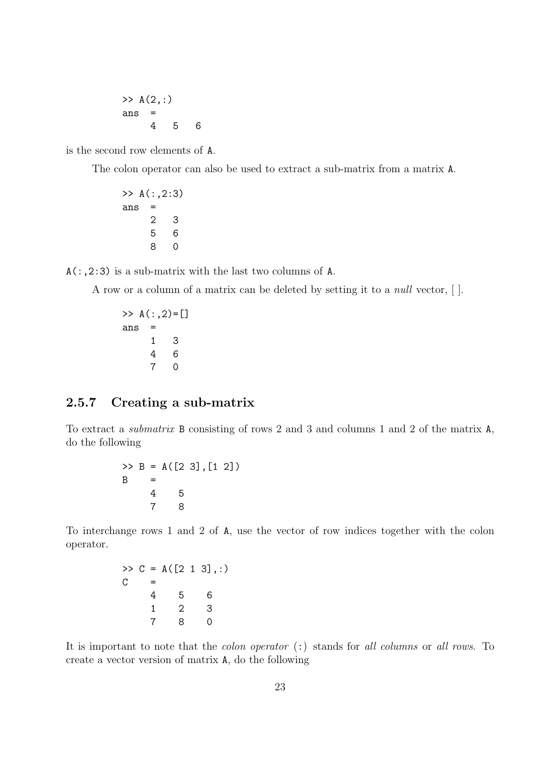$\gg A(2, :)$ ans = 4 5 6

is the second row elements of A.

The colon operator can also be used to extract a sub-matrix from a matrix A.

```
>> A(:,2:3)ans =
    2 3
    5 6
    8 0
```
 $A($ :,2:3) is a sub-matrix with the last two columns of A.

A row or a column of a matrix can be deleted by setting it to a null vector, [ ].

```
>> A(:,2) = []ans =
    1 3
    4 6
    7 0
```
### 2.5.7 Creating a sub-matrix

To extract a submatrix B consisting of rows 2 and 3 and columns 1 and 2 of the matrix A, do the following

> $\Rightarrow$  B = A([2 3], [1 2])  $B =$ 4 5 7 8

To interchange rows 1 and 2 of A, use the vector of row indices together with the colon operator.

```
>> C = A([2 1 3], :)C =4 5 6
   1 2 3
   7 8 0
```
It is important to note that the colon operator (:) stands for all columns or all rows. To create a vector version of matrix A, do the following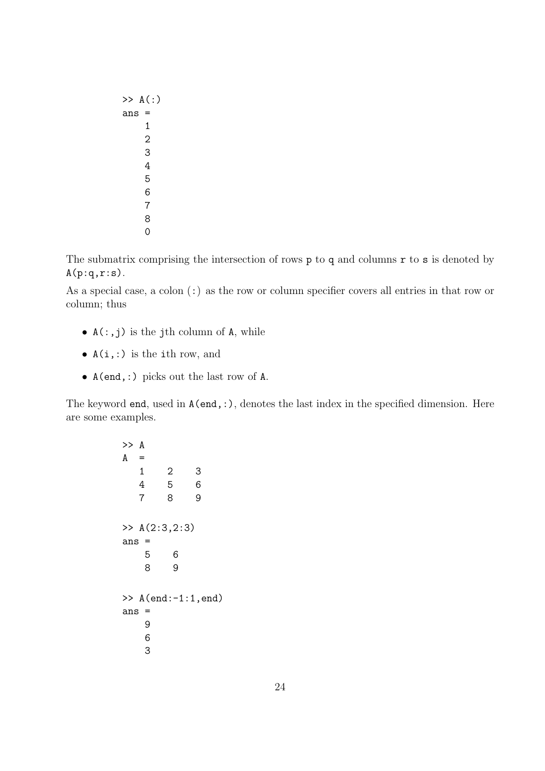The submatrix comprising the intersection of rows  $p$  to q and columns  $r$  to  $s$  is denoted by  $A(p:q,r:s)$ .

As a special case, a colon (:) as the row or column specifier covers all entries in that row or column; thus

- $A(:,j)$  is the jth column of A, while
- $A(i,:)$  is the ith row, and
- A(end,:) picks out the last row of A.

The keyword end, used in A(end,:), denotes the last index in the specified dimension. Here are some examples.

```
>> A
A =1 2 3
  4 5 6
  7 8 9
>> A(2:3,2:3)
ans =
   5 6
   8 9
\gg A(end:-1:1, end)
ans =
   9
   6
   3
```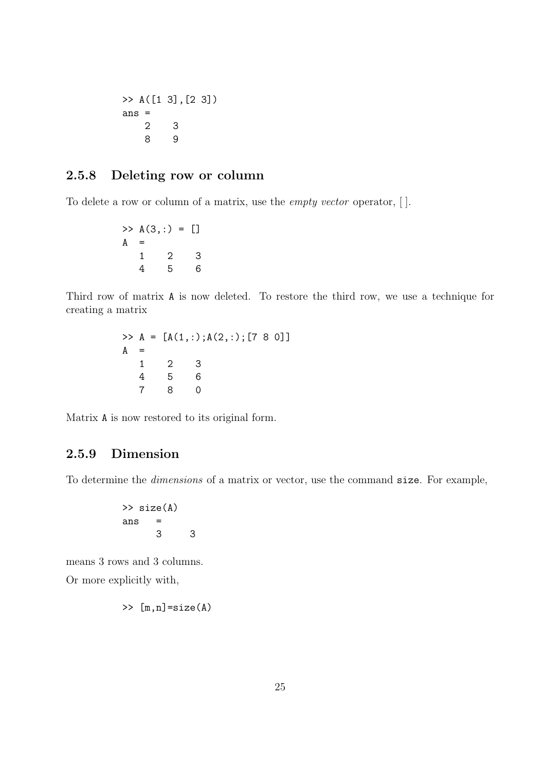$\gg A([1 3], [2 3])$ ans = 2 3 8 9

### 2.5.8 Deleting row or column

To delete a row or column of a matrix, use the empty vector operator, [ ].

 $>> A(3,:) = []$  $A =$ 1 2 3 4 5 6

Third row of matrix A is now deleted. To restore the third row, we use a technique for creating a matrix

> $\Rightarrow$  A = [A(1,:);A(2,:);[7 8 0]]  $A =$ 1 2 3 4 5 6 7 8 0

Matrix A is now restored to its original form.

### 2.5.9 Dimension

To determine the dimensions of a matrix or vector, use the command size. For example,

$$
\begin{array}{rcl}\n>>> \text{size(A)} \\
\text{ans} & = & \\
& 3 & 3\n\end{array}
$$

means 3 rows and 3 columns. Or more explicitly with,

$$
\gg [m,n] = size(A)
$$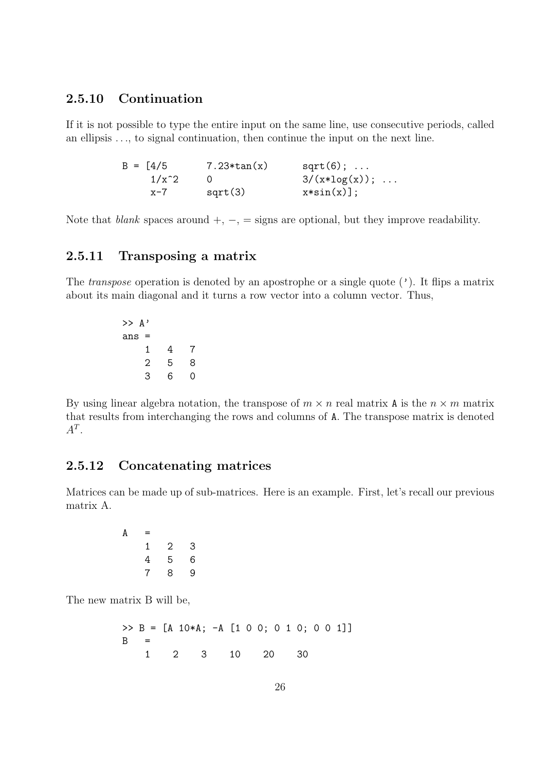### 2.5.10 Continuation

If it is not possible to type the entire input on the same line, use consecutive periods, called an ellipsis . . ., to signal continuation, then continue the input on the next line.

| $B = [4/5]$ | $7.23*tan(x)$ | $sqrt(6); \ldots$        |
|-------------|---------------|--------------------------|
| $1/x^2$     |               | $3/(x * log(x)); \ldots$ |
| $x - 7$     | sqrt(3)       | $x * sin(x)$ ;           |

Note that *blank* spaces around  $+$ ,  $-$ ,  $=$  signs are optional, but they improve readability.

### 2.5.11 Transposing a matrix

The *transpose* operation is denoted by an apostrophe or a single quote  $(')$ . It flips a matrix about its main diagonal and it turns a row vector into a column vector. Thus,

> $\rightarrow$  A' ans = 1 4 7 2 5 8 3 6 0

By using linear algebra notation, the transpose of  $m \times n$  real matrix A is the  $n \times m$  matrix that results from interchanging the rows and columns of A. The transpose matrix is denoted  $A^T$ .

### 2.5.12 Concatenating matrices

Matrices can be made up of sub-matrices. Here is an example. First, let's recall our previous matrix A.

```
A =1 2 3
  4 5 6
  7 8 9
```
The new matrix B will be,

```
>> B = [A 10*A; -A [1 0 0; 0 1 0; 0 0 1]]
B =1 2 3 10 20 30
```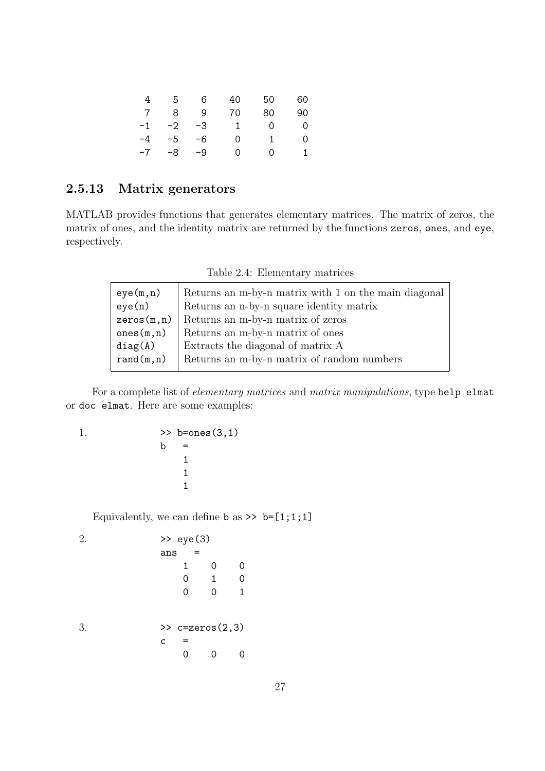| 4          | 5 <sup>5</sup> | 6  | 40           | 50       | 60       |
|------------|----------------|----|--------------|----------|----------|
| $7\degree$ | 8 <sup>1</sup> | -9 | 70           | 80       | 90       |
|            | $-1$ $-2$ $-3$ |    | $\mathbf{1}$ | $\Omega$ | - 0      |
|            | $-4$ $-5$ $-6$ |    | $\Omega$     | 1        | $\Omega$ |
|            | $-7 - 8 - 9$   |    | $\Omega$     | ∩        |          |

#### 2.5.13 Matrix generators

MATLAB provides functions that generates elementary matrices. The matrix of zeros, the matrix of ones, and the identity matrix are returned by the functions zeros, ones, and eye, respectively.

| eye(m,n)    | Returns an m-by-n matrix with 1 on the main diagonal |
|-------------|------------------------------------------------------|
| eye(n)      | Returns an n-by-n square identity matrix             |
| zeros(m, n) | Returns an m-by-n matrix of zeros                    |
| ones(m, n)  | Returns an m-by-n matrix of ones                     |
| diag(A)     | Extracts the diagonal of matrix A                    |
| rand(m, n)  | Returns an m-by-n matrix of random numbers           |
|             |                                                      |

Table 2.4: Elementary matrices

For a complete list of elementary matrices and matrix manipulations, type help elmat or doc elmat. Here are some examples:

1.  $> b = ones(3,1)$  $b =$ 1 1 1

Equivalently, we can define **b** as  $\geq$  **b**=[1;1;1]

2. >> eye(3) ans = 1 0 0 0 1 0 0 0 1 3. >> c=zeros(2,3) c = 0 0 0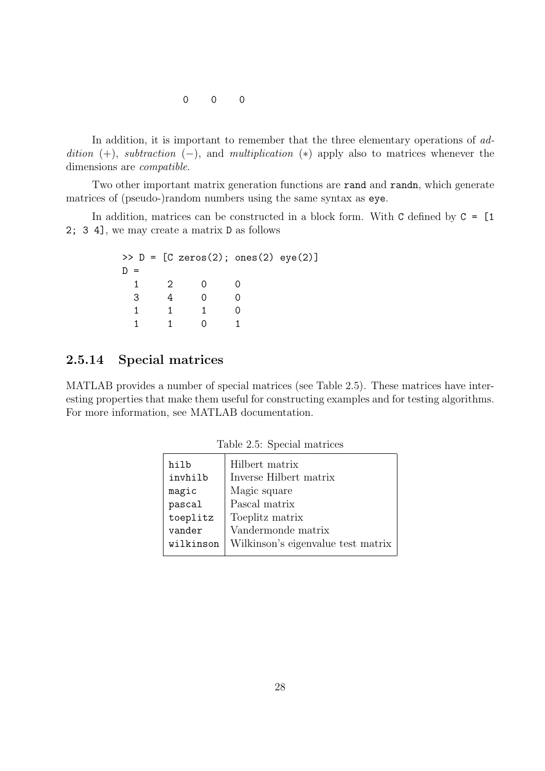0 0 0

In addition, it is important to remember that the three elementary operations of addition  $(+)$ , subtraction  $(-)$ , and multiplication  $(*)$  apply also to matrices whenever the dimensions are compatible.

Two other important matrix generation functions are rand and randn, which generate matrices of (pseudo-)random numbers using the same syntax as eye.

In addition, matrices can be constructed in a block form. With  $C$  defined by  $C = [1]$ 2; 3 4], we may create a matrix D as follows

|     |   | $>> D = [C zeros(2); ones(2) gives(2)]$ |  |
|-----|---|-----------------------------------------|--|
| $=$ |   |                                         |  |
|     | 2 |                                         |  |
| 3   |   |                                         |  |
|     |   |                                         |  |
|     |   |                                         |  |

#### 2.5.14 Special matrices

MATLAB provides a number of special matrices (see Table 2.5). These matrices have interesting properties that make them useful for constructing examples and for testing algorithms. For more information, see MATLAB documentation.

| hilb      | Hilbert matrix                     |
|-----------|------------------------------------|
| invhilb   | Inverse Hilbert matrix             |
| magic     | Magic square                       |
| pascal    | Pascal matrix                      |
| toeplitz  | Toeplitz matrix                    |
| vander    | Vandermonde matrix                 |
| wilkinson | Wilkinson's eigenvalue test matrix |
|           |                                    |

Table 2.5: Special matrices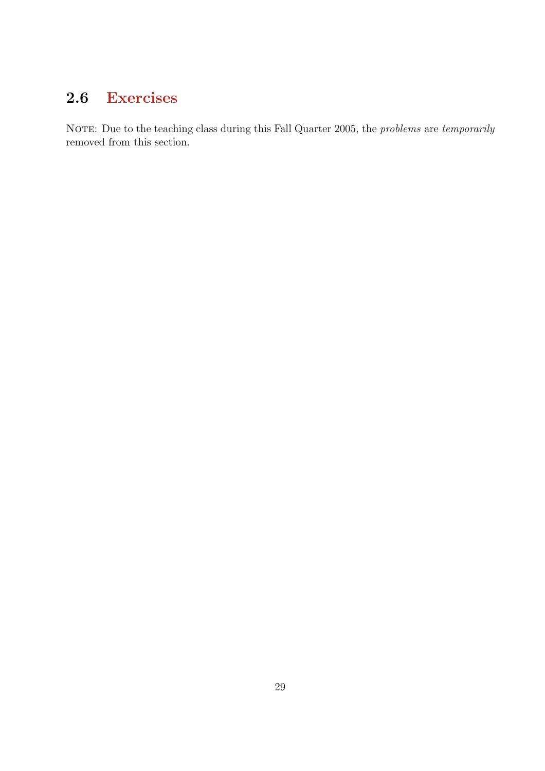# 2.6 Exercises

NOTE: Due to the teaching class during this Fall Quarter 2005, the *problems* are *temporarily* removed from this section.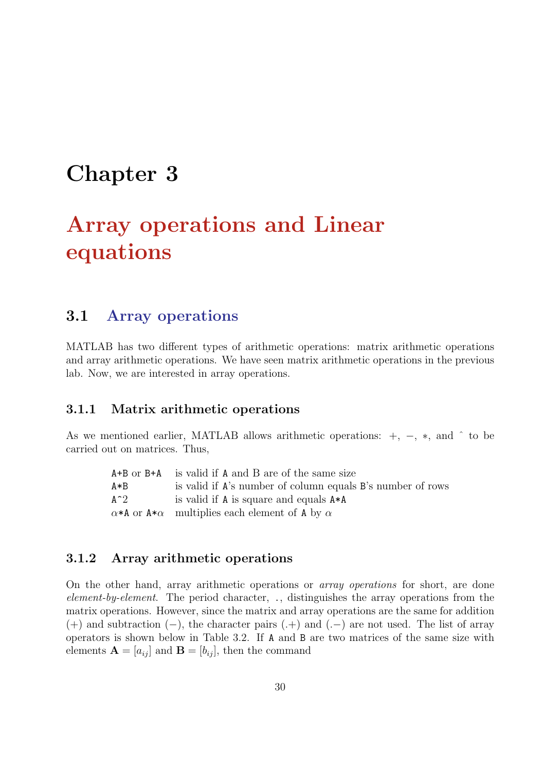# Chapter 3

# Array operations and Linear equations

## 3.1 Array operations

MATLAB has two different types of arithmetic operations: matrix arithmetic operations and array arithmetic operations. We have seen matrix arithmetic operations in the previous lab. Now, we are interested in array operations.

#### 3.1.1 Matrix arithmetic operations

As we mentioned earlier, MATLAB allows arithmetic operations:  $+, -, *,$  and  $\hat{ }$  to be carried out on matrices. Thus,

|       | $A+B$ or $B+A$ is valid if A and B are of the same size               |
|-------|-----------------------------------------------------------------------|
| $A*B$ | is valid if A's number of column equals B's number of rows            |
| $A^2$ | is valid if A is square and equals $A*A$                              |
|       | $\alpha * A$ or $A * \alpha$ multiplies each element of A by $\alpha$ |

#### 3.1.2 Array arithmetic operations

On the other hand, array arithmetic operations or array operations for short, are done element-by-element. The period character, ., distinguishes the array operations from the matrix operations. However, since the matrix and array operations are the same for addition (+) and subtraction (−), the character pairs (.+) and (.−) are not used. The list of array operators is shown below in Table 3.2. If A and B are two matrices of the same size with elements  $\mathbf{A} = [a_{ij}]$  and  $\mathbf{B} = [b_{ij}]$ , then the command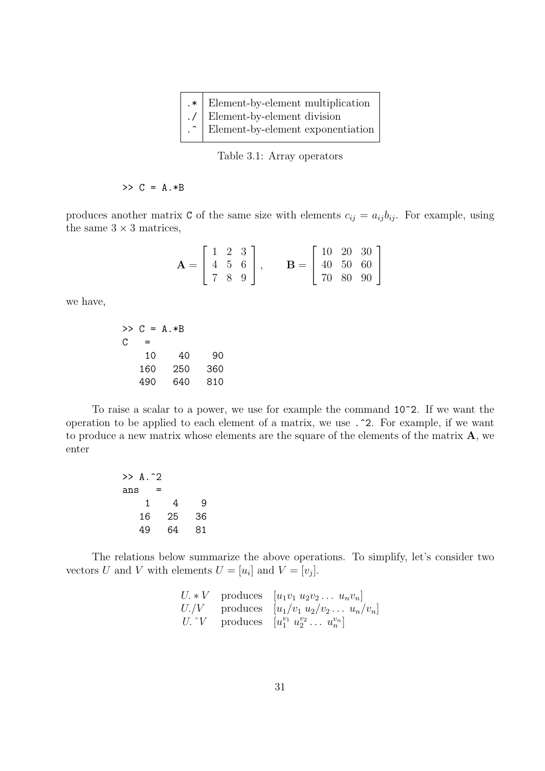| $.*$ Element-by-element multiplication         |
|------------------------------------------------|
| ./ Element-by-element division                 |
| $\therefore$ Element-by-element exponentiation |
|                                                |

Table 3.1: Array operators

 $>> C = A.*B$ 

produces another matrix C of the same size with elements  $c_{ij} = a_{ij}b_{ij}$ . For example, using the same  $3 \times 3$  matrices,

| $\mathbf{A} = \left[ \begin{array}{ccc} 1 & 2 & 3 \\ 4 & 5 & 6 \\ 7 & 8 & 9 \end{array} \right]$ |  |  | $\mathbf{B} = \left[ \begin{array}{ccc} 10 & 20 & 30 \\ 40 & 50 & 60 \\ 70 & 80 & 90 \end{array} \right]$ |  |  |
|--------------------------------------------------------------------------------------------------|--|--|-----------------------------------------------------------------------------------------------------------|--|--|

we have,

>> C = A.\*B C = 10 40 90 160 250 360 490 640 810

To raise a scalar to a power, we use for example the command 10^2. If we want the operation to be applied to each element of a matrix, we use .^2. For example, if we want to produce a new matrix whose elements are the square of the elements of the matrix A, we enter

| $\gg$ A. $\hat{2}$ |    |    |
|--------------------|----|----|
| ans                | =  |    |
| 1                  | 4  | 9  |
| 16                 | 25 | 36 |
| 49                 | 64 | 81 |

The relations below summarize the above operations. To simplify, let's consider two vectors U and V with elements  $U = [u_i]$  and  $V = [v_j]$ .

|  | $U_* * V$ produces $[u_1v_1 u_2v_2 \ldots u_nv_n]$            |
|--|---------------------------------------------------------------|
|  | $U. / V$ produces $[u_1/v_1 u_2/v_2  u_n/v_n]$                |
|  | $U. \hat{V}$ produces $[u_1^{v_1} u_2^{v_2} \dots u_n^{v_n}]$ |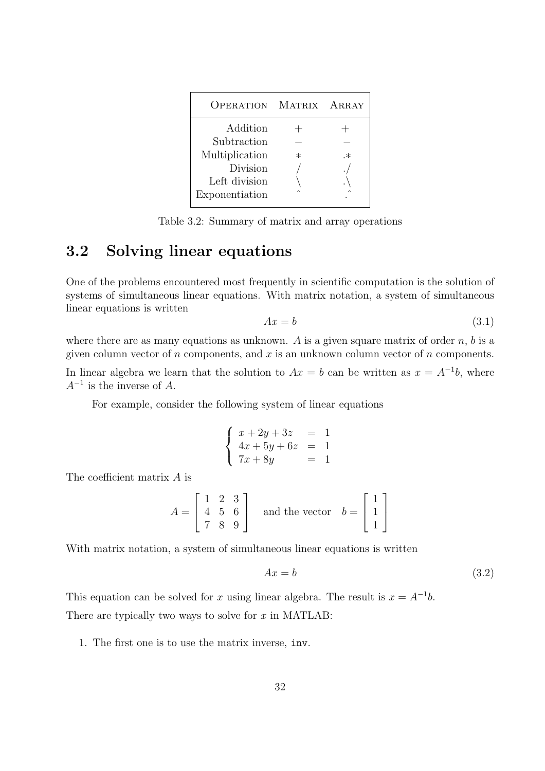| <b>OPERATION</b> | MATRIX ARRAY |    |
|------------------|--------------|----|
| Addition         |              |    |
| Subtraction      |              |    |
| Multiplication   | $^\ast$      | .∗ |
| Division         |              |    |
| Left division    |              |    |
| Exponentiation   |              |    |

Table 3.2: Summary of matrix and array operations

## 3.2 Solving linear equations

One of the problems encountered most frequently in scientific computation is the solution of systems of simultaneous linear equations. With matrix notation, a system of simultaneous linear equations is written

$$
Ax = b \tag{3.1}
$$

where there are as many equations as unknown. A is a given square matrix of order  $n$ ,  $b$  is a given column vector of  $n$  components, and  $x$  is an unknown column vector of  $n$  components.

In linear algebra we learn that the solution to  $Ax = b$  can be written as  $x = A^{-1}b$ , where  $A^{-1}$  is the inverse of A.

For example, consider the following system of linear equations

$$
\begin{cases}\n x + 2y + 3z &= 1 \\
 4x + 5y + 6z &= 1 \\
 7x + 8y &= 1\n\end{cases}
$$

The coefficient matrix A is

$$
A = \begin{bmatrix} 1 & 2 & 3 \\ 4 & 5 & 6 \\ 7 & 8 & 9 \end{bmatrix} \quad \text{and the vector} \quad b = \begin{bmatrix} 1 \\ 1 \\ 1 \end{bmatrix}
$$

With matrix notation, a system of simultaneous linear equations is written

$$
Ax = b \tag{3.2}
$$

This equation can be solved for x using linear algebra. The result is  $x = A^{-1}b$ . There are typically two ways to solve for  $x$  in MATLAB:

1. The first one is to use the matrix inverse, inv.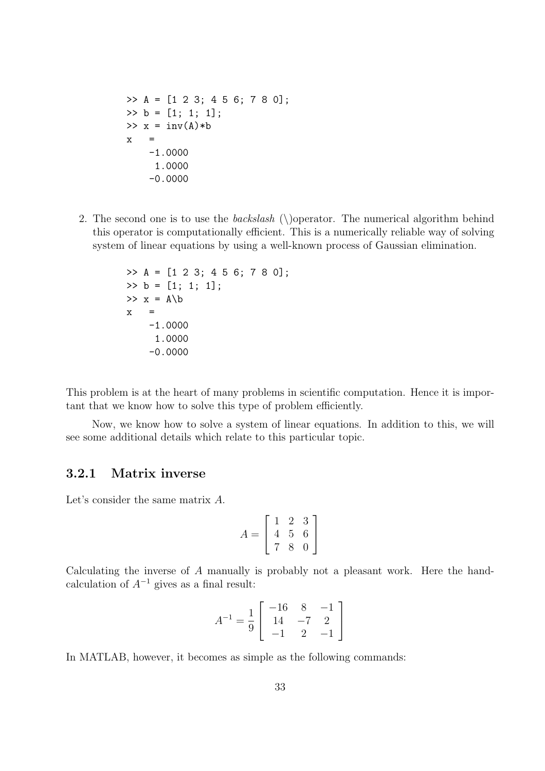>> A = [1 2 3; 4 5 6; 7 8 0]; >> b = [1; 1; 1];  $\Rightarrow$  x = inv(A)\*b  $x =$ -1.0000 1.0000 -0.0000

2. The second one is to use the *backslash* ( $\Omega$ ) operator. The numerical algorithm behind this operator is computationally efficient. This is a numerically reliable way of solving system of linear equations by using a well-known process of Gaussian elimination.

>> A = [1 2 3; 4 5 6; 7 8 0]; >> b = [1; 1; 1]; >> x = A\b x = -1.0000 1.0000 -0.0000

This problem is at the heart of many problems in scientific computation. Hence it is important that we know how to solve this type of problem efficiently.

Now, we know how to solve a system of linear equations. In addition to this, we will see some additional details which relate to this particular topic.

#### 3.2.1 Matrix inverse

Let's consider the same matrix A.

$$
A = \left[ \begin{array}{rrr} 1 & 2 & 3 \\ 4 & 5 & 6 \\ 7 & 8 & 0 \end{array} \right]
$$

Calculating the inverse of A manually is probably not a pleasant work. Here the handcalculation of  $A^{-1}$  gives as a final result:

$$
A^{-1} = \frac{1}{9} \left[ \begin{array}{rrr} -16 & 8 & -1 \\ 14 & -7 & 2 \\ -1 & 2 & -1 \end{array} \right]
$$

In MATLAB, however, it becomes as simple as the following commands: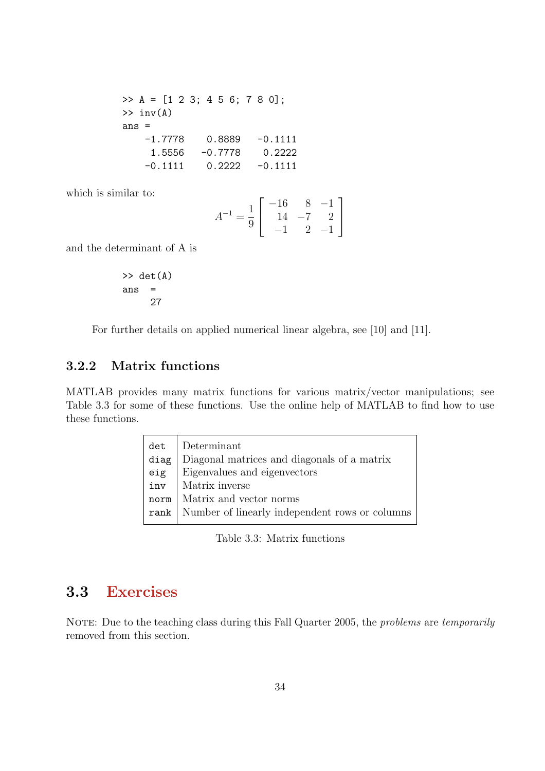>> A = [1 2 3; 4 5 6; 7 8 0];  $\gg$  inv $(A)$ ans =  $-1.7778$  0.8889  $-0.1111$ 1.5556 -0.7778 0.2222  $-0.1111$   $0.2222$   $-0.1111$ 

which is similar to:

$$
A^{-1} = \frac{1}{9} \left[ \begin{array}{rrr} -16 & 8 & -1 \\ 14 & -7 & 2 \\ -1 & 2 & -1 \end{array} \right]
$$

and the determinant of A is

$$
>> det(A)
$$
  
ans = 27

For further details on applied numerical linear algebra, see [10] and [11].

#### 3.2.2 Matrix functions

MATLAB provides many matrix functions for various matrix/vector manipulations; see Table 3.3 for some of these functions. Use the online help of MATLAB to find how to use these functions.

| det  | Determinant                                           |
|------|-------------------------------------------------------|
| diag | Diagonal matrices and diagonals of a matrix           |
| eig  | Eigenvalues and eigenvectors                          |
| inv  | Matrix inverse                                        |
| norm | Matrix and vector norms                               |
|      | rank   Number of linearly independent rows or columns |
|      |                                                       |

Table 3.3: Matrix functions

## 3.3 Exercises

NOTE: Due to the teaching class during this Fall Quarter 2005, the *problems* are *temporarily* removed from this section.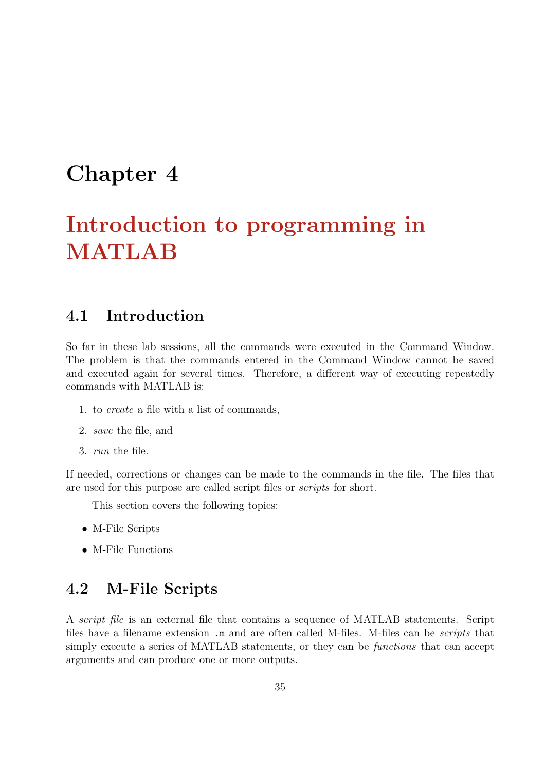# Chapter 4

# Introduction to programming in MATLAB

#### 4.1 Introduction

So far in these lab sessions, all the commands were executed in the Command Window. The problem is that the commands entered in the Command Window cannot be saved and executed again for several times. Therefore, a different way of executing repeatedly commands with MATLAB is:

- 1. to create a file with a list of commands,
- 2. save the file, and
- 3. run the file.

If needed, corrections or changes can be made to the commands in the file. The files that are used for this purpose are called script files or scripts for short.

This section covers the following topics:

- M-File Scripts
- M-File Functions

# 4.2 M-File Scripts

A script file is an external file that contains a sequence of MATLAB statements. Script files have a filename extension .m and are often called M-files. M-files can be *scripts* that simply execute a series of MATLAB statements, or they can be functions that can accept arguments and can produce one or more outputs.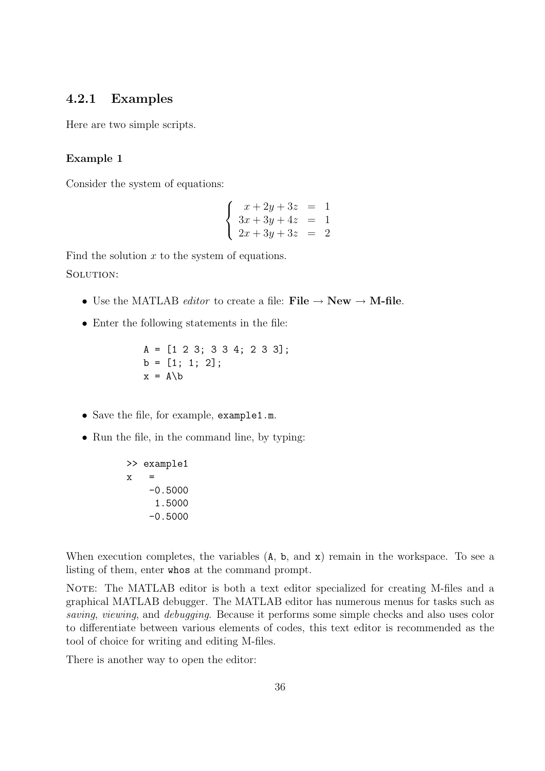#### 4.2.1 Examples

Here are two simple scripts.

#### Example 1

Consider the system of equations:

$$
\begin{cases}\n x + 2y + 3z &= 1 \\
 3x + 3y + 4z &= 1 \\
 2x + 3y + 3z &= 2\n\end{cases}
$$

Find the solution  $x$  to the system of equations. SOLUTION:

- Use the MATLAB *editor* to create a file: File  $\rightarrow$  New  $\rightarrow$  M-file.
- Enter the following statements in the file:

$$
A = [1 2 3; 3 3 4; 2 3 3];
$$
  

$$
b = [1; 1; 2];
$$
  

$$
x = A\backslash b
$$

- Save the file, for example, example1.m.
- Run the file, in the command line, by typing:

>> example1 x = -0.5000 1.5000 -0.5000

When execution completes, the variables  $(A, b, and x)$  remain in the workspace. To see a listing of them, enter whos at the command prompt.

NOTE: The MATLAB editor is both a text editor specialized for creating M-files and a graphical MATLAB debugger. The MATLAB editor has numerous menus for tasks such as saving, viewing, and debugging. Because it performs some simple checks and also uses color to differentiate between various elements of codes, this text editor is recommended as the tool of choice for writing and editing M-files.

There is another way to open the editor: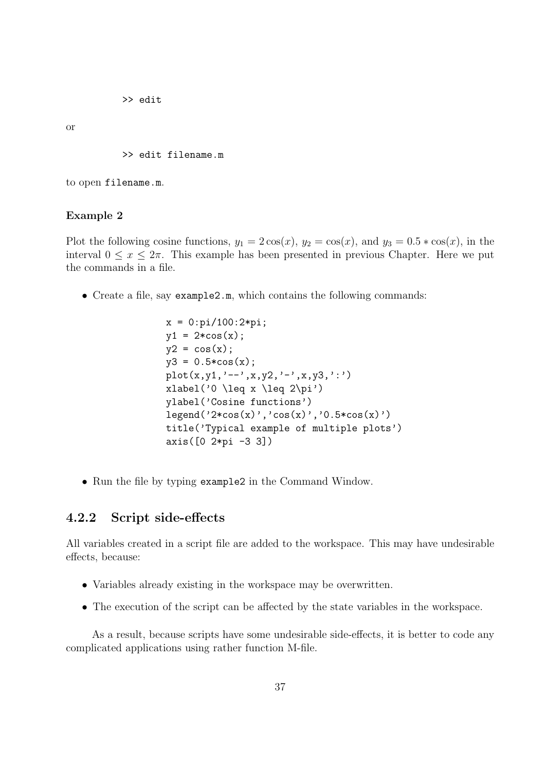>> edit

or

>> edit filename.m

to open filename.m.

#### Example 2

Plot the following cosine functions,  $y_1 = 2\cos(x)$ ,  $y_2 = \cos(x)$ , and  $y_3 = 0.5 * \cos(x)$ , in the interval  $0 \le x \le 2\pi$ . This example has been presented in previous Chapter. Here we put the commands in a file.

• Create a file, say example2.m, which contains the following commands:

```
x = 0:pi/100:2*pi;y1 = 2 * cos(x);
y2 = cos(x);
y3 = 0.5 * cos(x);plot(x,y1,'--',x,y2,'--',x,y3,':')xlabel('0 \leq x \leq 2\pi')
ylabel('Cosine functions')
legend('2*cos(x)', 'cos(x)', '0.5*cos(x)'))title('Typical example of multiple plots')
axis([0 2*pi -3 3])
```
• Run the file by typing example2 in the Command Window.

#### 4.2.2 Script side-effects

All variables created in a script file are added to the workspace. This may have undesirable effects, because:

- Variables already existing in the workspace may be overwritten.
- The execution of the script can be affected by the state variables in the workspace.

As a result, because scripts have some undesirable side-effects, it is better to code any complicated applications using rather function M-file.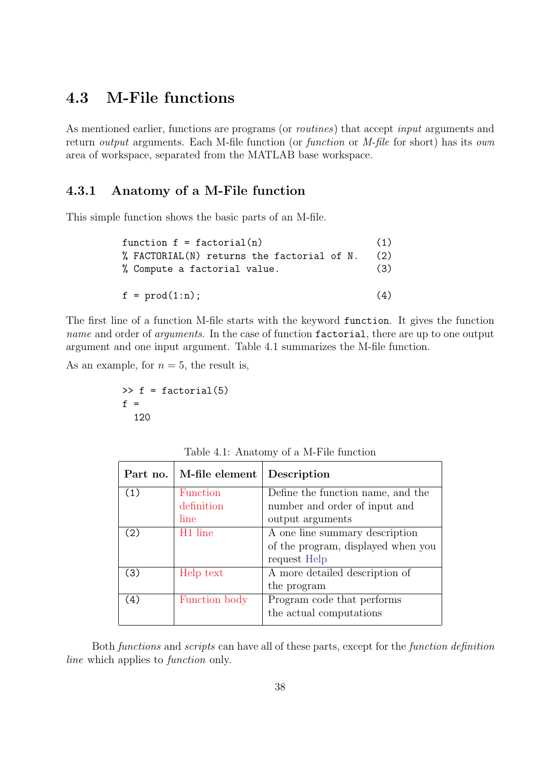# 4.3 M-File functions

As mentioned earlier, functions are programs (or *routines*) that accept *input* arguments and return *output* arguments. Each M-file function (or *function* or *M-file* for short) has its *own* area of workspace, separated from the MATLAB base workspace.

#### 4.3.1 Anatomy of a M-File function

This simple function shows the basic parts of an M-file.

| function $f = factorial(n)$                |     |  |  |
|--------------------------------------------|-----|--|--|
| % FACTORIAL(N) returns the factorial of N. | (2) |  |  |
| % Compute a factorial value.               | (3) |  |  |
|                                            |     |  |  |
| $f = \text{prod}(1:n);$                    | (4) |  |  |

The first line of a function M-file starts with the keyword function. It gives the function name and order of *arguments*. In the case of function factorial, there are up to one output argument and one input argument. Table 4.1 summarizes the M-file function.

As an example, for  $n = 5$ , the result is,

$$
\Rightarrow f = factorial(5)
$$
  
f =  
120

| Table 4.1: Anatomy of a M-File function |  |  |  |
|-----------------------------------------|--|--|--|
|-----------------------------------------|--|--|--|

| Part no. | M-file element      | Description                        |
|----------|---------------------|------------------------------------|
| (1)      | Function            | Define the function name, and the  |
|          | definition          | number and order of input and      |
|          | line                | output arguments                   |
| (2)      | H <sub>1</sub> line | A one line summary description     |
|          |                     | of the program, displayed when you |
|          |                     | request Help                       |
| (3)      | Help text           | A more detailed description of     |
|          |                     | the program                        |
| (4)      | Function body       | Program code that performs         |
|          |                     | the actual computations            |

Both functions and scripts can have all of these parts, except for the function definition line which applies to *function* only.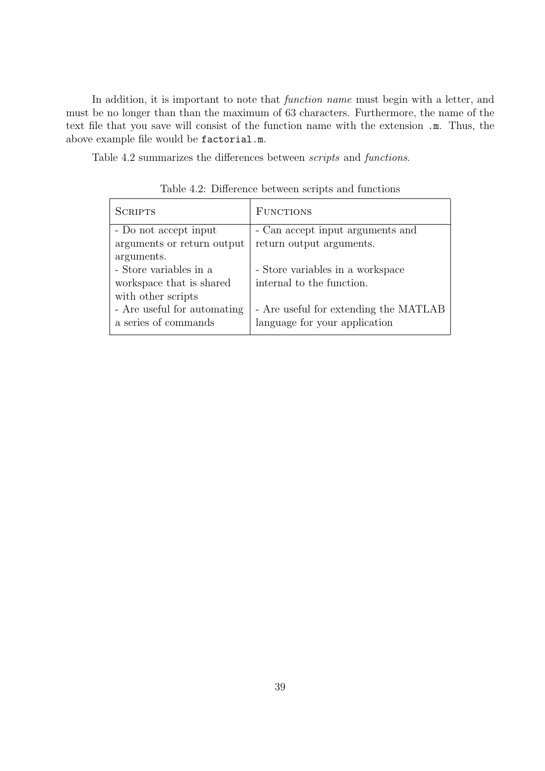In addition, it is important to note that *function name* must begin with a letter, and must be no longer than than the maximum of 63 characters. Furthermore, the name of the text file that you save will consist of the function name with the extension .m. Thus, the above example file would be factorial.m.

Table 4.2 summarizes the differences between scripts and functions.

| <b>SCRIPTS</b>              | <b>FUNCTIONS</b>                      |
|-----------------------------|---------------------------------------|
| - Do not accept input       | - Can accept input arguments and      |
| arguments or return output  | return output arguments.              |
| arguments.                  |                                       |
| - Store variables in a      | - Store variables in a workspace      |
| workspace that is shared    | internal to the function.             |
| with other scripts          |                                       |
| - Are useful for automating | - Are useful for extending the MATLAB |
| a series of commands        | language for your application         |

Table 4.2: Difference between scripts and functions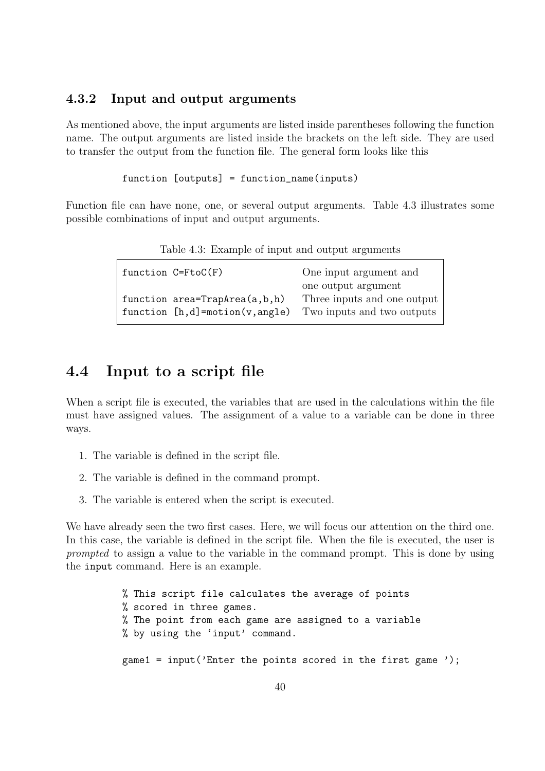#### 4.3.2 Input and output arguments

As mentioned above, the input arguments are listed inside parentheses following the function name. The output arguments are listed inside the brackets on the left side. They are used to transfer the output from the function file. The general form looks like this

```
function [outputs] = function_name(inputs)
```
Function file can have none, one, or several output arguments. Table 4.3 illustrates some possible combinations of input and output arguments.

|  | Table 4.3: Example of input and output arguments |  |
|--|--------------------------------------------------|--|
|  |                                                  |  |

|  | function $C = FtoC(F)$             | One input argument and      |
|--|------------------------------------|-----------------------------|
|  |                                    | one output argument         |
|  | function area=TrapArea(a,b,h)      | Three inputs and one output |
|  | function $[h,d] = motion(v,angle)$ | Two inputs and two outputs  |
|  |                                    |                             |

## 4.4 Input to a script file

When a script file is executed, the variables that are used in the calculations within the file must have assigned values. The assignment of a value to a variable can be done in three ways.

- 1. The variable is defined in the script file.
- 2. The variable is defined in the command prompt.
- 3. The variable is entered when the script is executed.

We have already seen the two first cases. Here, we will focus our attention on the third one. In this case, the variable is defined in the script file. When the file is executed, the user is prompted to assign a value to the variable in the command prompt. This is done by using the input command. Here is an example.

> % This script file calculates the average of points % scored in three games. % The point from each game are assigned to a variable % by using the 'input' command. game1 = input('Enter the points scored in the first game ');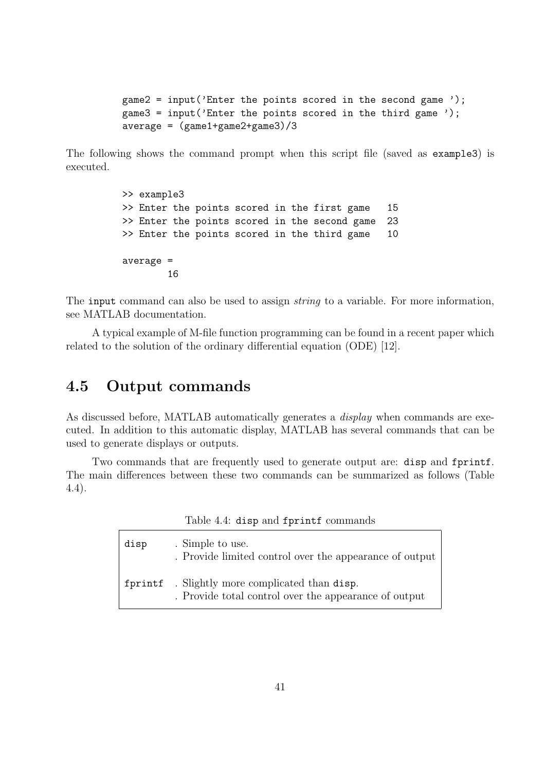game2 = input('Enter the points scored in the second game '); game3 = input('Enter the points scored in the third game '); average = (game1+game2+game3)/3

The following shows the command prompt when this script file (saved as example3) is executed.

```
>> example3
>> Enter the points scored in the first game 15
>> Enter the points scored in the second game 23
>> Enter the points scored in the third game 10
average =
       16
```
The input command can also be used to assign *string* to a variable. For more information, see MATLAB documentation.

A typical example of M-file function programming can be found in a recent paper which related to the solution of the ordinary differential equation (ODE) [12].

## 4.5 Output commands

As discussed before, MATLAB automatically generates a *display* when commands are executed. In addition to this automatic display, MATLAB has several commands that can be used to generate displays or outputs.

Two commands that are frequently used to generate output are: disp and fprintf. The main differences between these two commands can be summarized as follows (Table 4.4).

|  |  | Table 4.4: disp and fprintf commands |
|--|--|--------------------------------------|

| disp | . Simple to use.<br>. Provide limited control over the appearance of output                             |
|------|---------------------------------------------------------------------------------------------------------|
|      | fprintf . Slightly more complicated than disp.<br>. Provide total control over the appearance of output |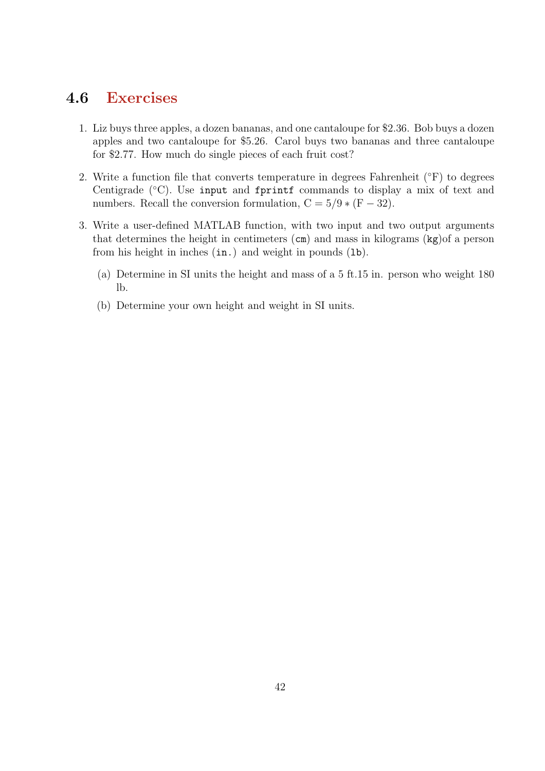## 4.6 Exercises

- 1. Liz buys three apples, a dozen bananas, and one cantaloupe for \$2.36. Bob buys a dozen apples and two cantaloupe for \$5.26. Carol buys two bananas and three cantaloupe for \$2.77. How much do single pieces of each fruit cost?
- 2. Write a function file that converts temperature in degrees Fahrenheit  $(\degree F)$  to degrees Centigrade (◦C). Use input and fprintf commands to display a mix of text and numbers. Recall the conversion formulation,  $C = 5/9 * (F - 32)$ .
- 3. Write a user-defined MATLAB function, with two input and two output arguments that determines the height in centimeters (cm) and mass in kilograms (kg)of a person from his height in inches  $(in.)$  and weight in pounds  $(1b)$ .
	- (a) Determine in SI units the height and mass of a 5 ft.15 in. person who weight 180 lb.
	- (b) Determine your own height and weight in SI units.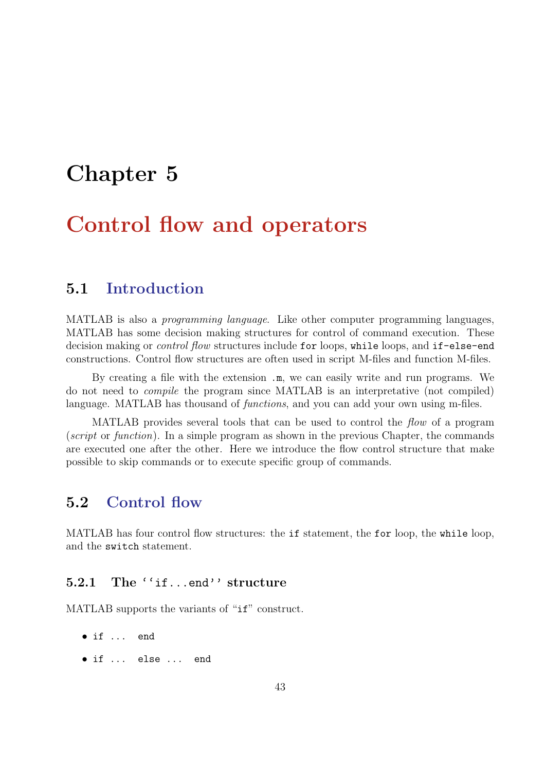# Chapter 5

# Control flow and operators

## 5.1 Introduction

MATLAB is also a programming language. Like other computer programming languages, MATLAB has some decision making structures for control of command execution. These decision making or *control flow* structures include for loops, while loops, and if-else-end constructions. Control flow structures are often used in script M-files and function M-files.

By creating a file with the extension .m, we can easily write and run programs. We do not need to compile the program since MATLAB is an interpretative (not compiled) language. MATLAB has thousand of *functions*, and you can add your own using m-files.

MATLAB provides several tools that can be used to control the flow of a program (script or function). In a simple program as shown in the previous Chapter, the commands are executed one after the other. Here we introduce the flow control structure that make possible to skip commands or to execute specific group of commands.

## 5.2 Control flow

MATLAB has four control flow structures: the if statement, the for loop, the while loop, and the switch statement.

#### 5.2.1 The ''if...end'' structure

MATLAB supports the variants of "if" construct.

- if ... end
- if ... else ... end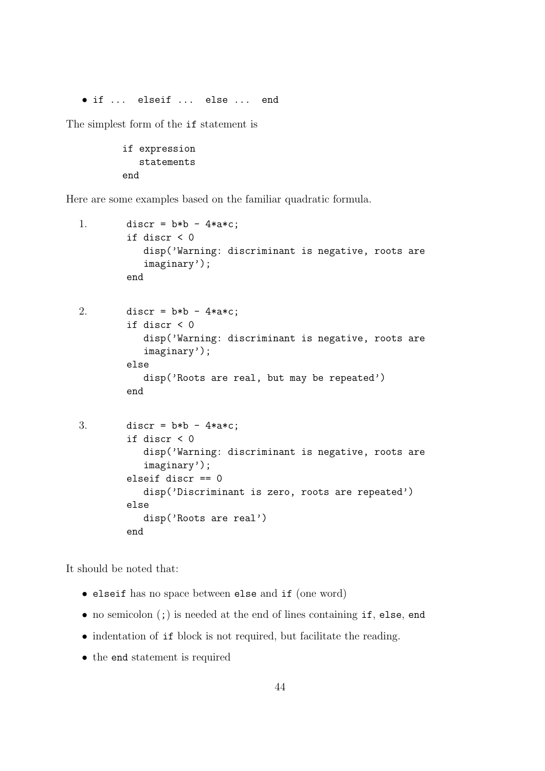• if ... elseif ... else ... end

The simplest form of the if statement is

if expression statements end

Here are some examples based on the familiar quadratic formula.

```
1. discr = b*b - 4*axc;if discr < 0
           disp('Warning: discriminant is negative, roots are
           imaginary');
        end
2. discr = b*b - 4*a*c;if discr < 0
           disp('Warning: discriminant is negative, roots are
           imaginary');
        else
           disp('Roots are real, but may be repeated')
        end
3. discr = b*b - 4*ax;
        if discr < 0
           disp('Warning: discriminant is negative, roots are
           imaginary');
        elseif discr == 0
           disp('Discriminant is zero, roots are repeated')
        else
           disp('Roots are real')
        end
```
It should be noted that:

- elseif has no space between else and if (one word)
- no semicolon (;) is needed at the end of lines containing if, else, end
- indentation of if block is not required, but facilitate the reading.
- the end statement is required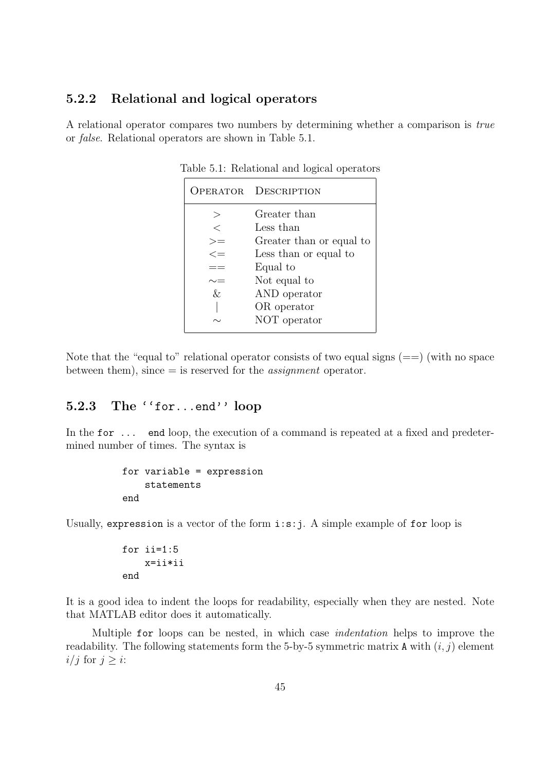#### 5.2.2 Relational and logical operators

A relational operator compares two numbers by determining whether a comparison is true or false. Relational operators are shown in Table 5.1.

|          | <b>OPERATOR DESCRIPTION</b> |
|----------|-----------------------------|
| $\rm{>}$ | Greater than                |
| $\,<\,$  | Less than                   |
| $>=$     | Greater than or equal to    |
| $\lt =$  | Less than or equal to       |
|          | Equal to                    |
|          | Not equal to                |
| $\&$     | AND operator                |
|          | OR operator                 |
|          | NOT operator                |

Table 5.1: Relational and logical operators

Note that the "equal to" relational operator consists of two equal signs  $(==)$  (with no space between them), since  $=$  is reserved for the *assignment* operator.

#### 5.2.3 The ''for...end'' loop

In the for ... end loop, the execution of a command is repeated at a fixed and predetermined number of times. The syntax is

```
for variable = expression
    statements
end
```
Usually, expression is a vector of the form i:s:j. A simple example of for loop is

```
for ii=1:5
    x=ii*ii
end
```
It is a good idea to indent the loops for readability, especially when they are nested. Note that MATLAB editor does it automatically.

Multiple for loops can be nested, in which case indentation helps to improve the readability. The following statements form the 5-by-5 symmetric matrix A with  $(i, j)$  element  $i/j$  for  $j > i$ :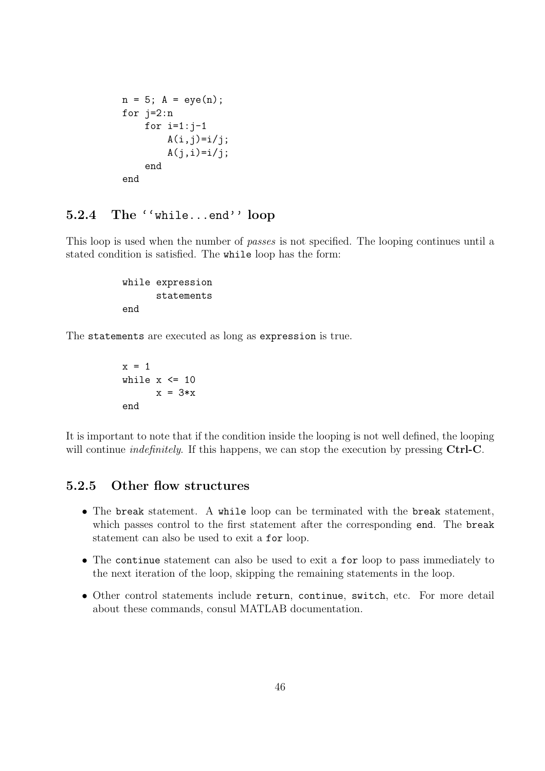```
n = 5; A = eye(n);
for j=2:n
    for i=1:j-1A(i, j)=i/j;A(j,i)=i/j;end
end
```
## 5.2.4 The ''while...end'' loop

This loop is used when the number of passes is not specified. The looping continues until a stated condition is satisfied. The while loop has the form:

> while expression statements end

The statements are executed as long as expression is true.

```
x = 1while x \leq 10x = 3*xend
```
It is important to note that if the condition inside the looping is not well defined, the looping will continue *indefinitely*. If this happens, we can stop the execution by pressing Ctrl-C.

#### 5.2.5 Other flow structures

- The break statement. A while loop can be terminated with the break statement, which passes control to the first statement after the corresponding end. The break statement can also be used to exit a for loop.
- The continue statement can also be used to exit a for loop to pass immediately to the next iteration of the loop, skipping the remaining statements in the loop.
- Other control statements include return, continue, switch, etc. For more detail about these commands, consul MATLAB documentation.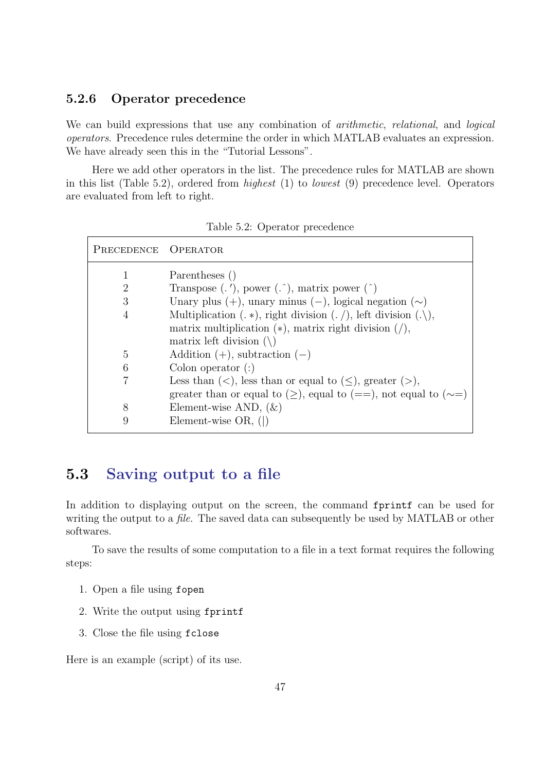#### 5.2.6 Operator precedence

We can build expressions that use any combination of *arithmetic*, *relational*, and *logical* operators. Precedence rules determine the order in which MATLAB evaluates an expression. We have already seen this in the "Tutorial Lessons".

Here we add other operators in the list. The precedence rules for MATLAB are shown in this list (Table 5.2), ordered from highest (1) to lowest (9) precedence level. Operators are evaluated from left to right.

| PRECEDENCE OPERATOR |                                                                             |
|---------------------|-----------------------------------------------------------------------------|
| 1                   | Parentheses ()                                                              |
| 2                   | Transpose $($ .'), power $($ . $)$ , matrix power $($ $)$                   |
| 3                   | Unary plus $(+)$ , unary minus $(-)$ , logical negation $(\sim)$            |
| $\overline{4}$      | Multiplication $(.*)$ , right division $(./)$ , left division $(./)$ ,      |
|                     | matrix multiplication $(*)$ , matrix right division $($ ,                   |
|                     | matrix left division $(\n)$                                                 |
| 5                   | Addition $(+)$ , subtraction $(-)$                                          |
| 6                   | Colon operator $($ : $)$                                                    |
| 7                   | Less than $(<)$ , less than or equal to $(\le)$ , greater $(>)$ ,           |
|                     | greater than or equal to $(\ge)$ , equal to $(==)$ , not equal to $(\sim=)$ |
| 8                   | Element-wise AND, $(\&)$                                                    |
| 9                   | Element-wise $OR$ , $( )$                                                   |

Table 5.2: Operator precedence

## 5.3 Saving output to a file

In addition to displaying output on the screen, the command fprintf can be used for writing the output to a *file*. The saved data can subsequently be used by MATLAB or other softwares.

To save the results of some computation to a file in a text format requires the following steps:

- 1. Open a file using fopen
- 2. Write the output using fprintf
- 3. Close the file using fclose

Here is an example (script) of its use.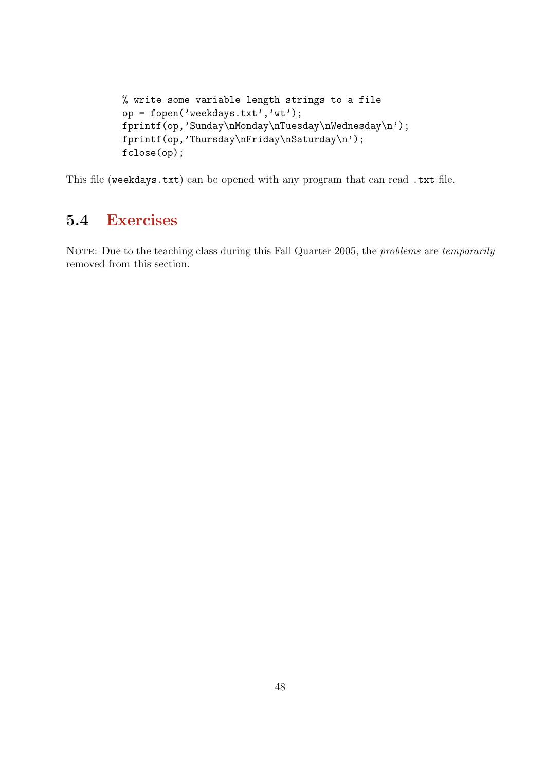```
% write some variable length strings to a file
op = fopen('weekdays.txt','wt');
fprintf(op,'Sunday\nMonday\nTuesday\nWednesday\n');
fprintf(op,'Thursday\nFriday\nSaturday\n');
fclose(op);
```
This file (weekdays.txt) can be opened with any program that can read .txt file.

# 5.4 Exercises

NOTE: Due to the teaching class during this Fall Quarter 2005, the *problems* are *temporarily* removed from this section.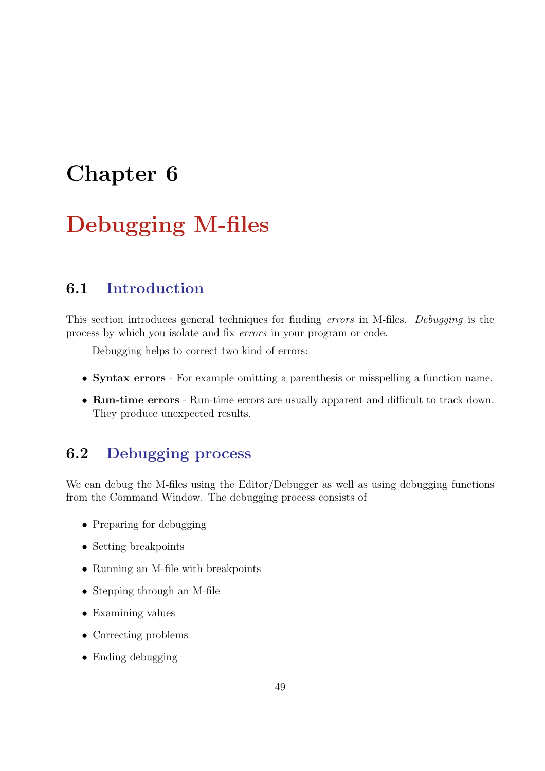# Chapter 6

# Debugging M-files

# 6.1 Introduction

This section introduces general techniques for finding errors in M-files. Debugging is the process by which you isolate and fix errors in your program or code.

Debugging helps to correct two kind of errors:

- Syntax errors For example omitting a parenthesis or misspelling a function name.
- Run-time errors Run-time errors are usually apparent and difficult to track down. They produce unexpected results.

# 6.2 Debugging process

We can debug the M-files using the Editor/Debugger as well as using debugging functions from the Command Window. The debugging process consists of

- Preparing for debugging
- Setting breakpoints
- Running an M-file with breakpoints
- Stepping through an M-file
- Examining values
- Correcting problems
- Ending debugging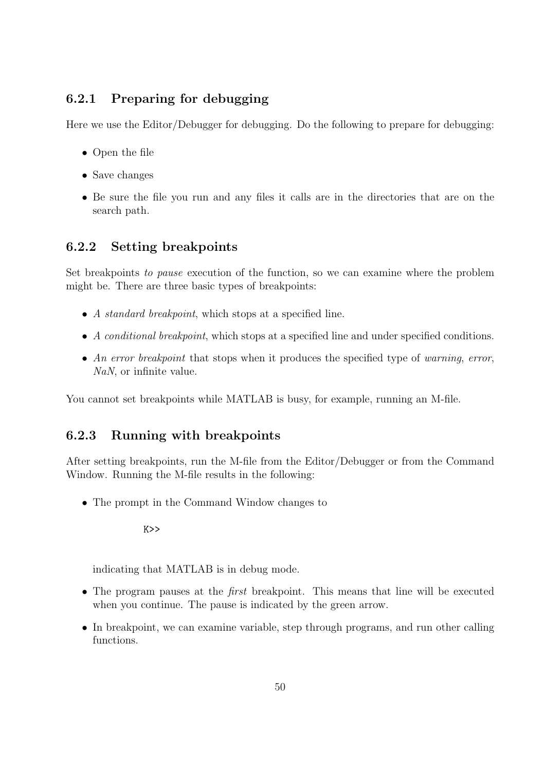#### 6.2.1 Preparing for debugging

Here we use the Editor/Debugger for debugging. Do the following to prepare for debugging:

- Open the file
- Save changes
- Be sure the file you run and any files it calls are in the directories that are on the search path.

#### 6.2.2 Setting breakpoints

Set breakpoints to pause execution of the function, so we can examine where the problem might be. There are three basic types of breakpoints:

- A *standard breakpoint*, which stops at a specified line.
- A conditional breakpoint, which stops at a specified line and under specified conditions.
- An error breakpoint that stops when it produces the specified type of warning, error, NaN, or infinite value.

You cannot set breakpoints while MATLAB is busy, for example, running an M-file.

#### 6.2.3 Running with breakpoints

After setting breakpoints, run the M-file from the Editor/Debugger or from the Command Window. Running the M-file results in the following:

• The prompt in the Command Window changes to

K>>

indicating that MATLAB is in debug mode.

- The program pauses at the *first* breakpoint. This means that line will be executed when you continue. The pause is indicated by the green arrow.
- In breakpoint, we can examine variable, step through programs, and run other calling functions.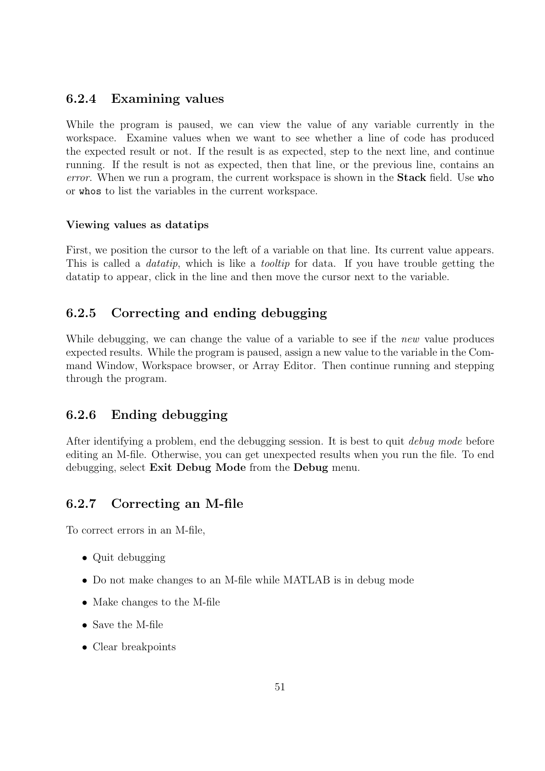#### 6.2.4 Examining values

While the program is paused, we can view the value of any variable currently in the workspace. Examine values when we want to see whether a line of code has produced the expected result or not. If the result is as expected, step to the next line, and continue running. If the result is not as expected, then that line, or the previous line, contains an error. When we run a program, the current workspace is shown in the **Stack** field. Use who or whos to list the variables in the current workspace.

#### Viewing values as datatips

First, we position the cursor to the left of a variable on that line. Its current value appears. This is called a *datatip*, which is like a *tooltip* for data. If you have trouble getting the datatip to appear, click in the line and then move the cursor next to the variable.

#### 6.2.5 Correcting and ending debugging

While debugging, we can change the value of a variable to see if the *new* value produces expected results. While the program is paused, assign a new value to the variable in the Command Window, Workspace browser, or Array Editor. Then continue running and stepping through the program.

#### 6.2.6 Ending debugging

After identifying a problem, end the debugging session. It is best to quit debug mode before editing an M-file. Otherwise, you can get unexpected results when you run the file. To end debugging, select Exit Debug Mode from the Debug menu.

#### 6.2.7 Correcting an M-file

To correct errors in an M-file,

- Quit debugging
- Do not make changes to an M-file while MATLAB is in debug mode
- Make changes to the M-file
- Save the M-file
- Clear breakpoints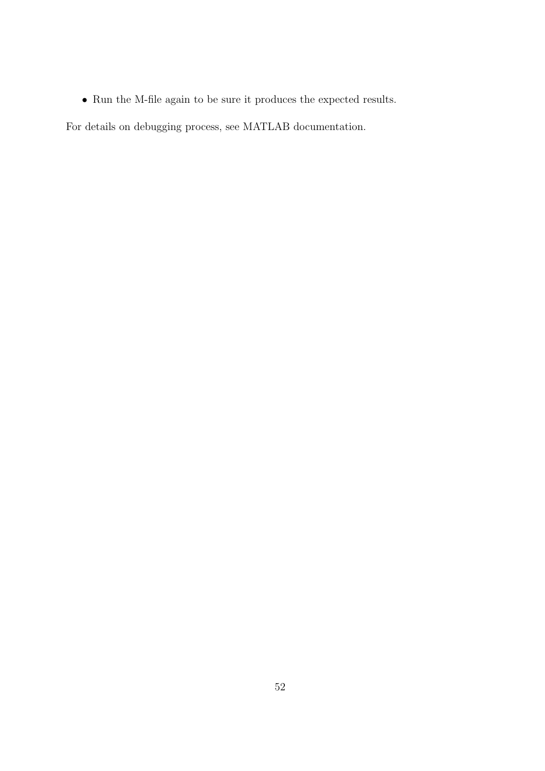$\bullet~$  Run the M-file again to be sure it produces the expected results.

For details on debugging process, see MATLAB documentation.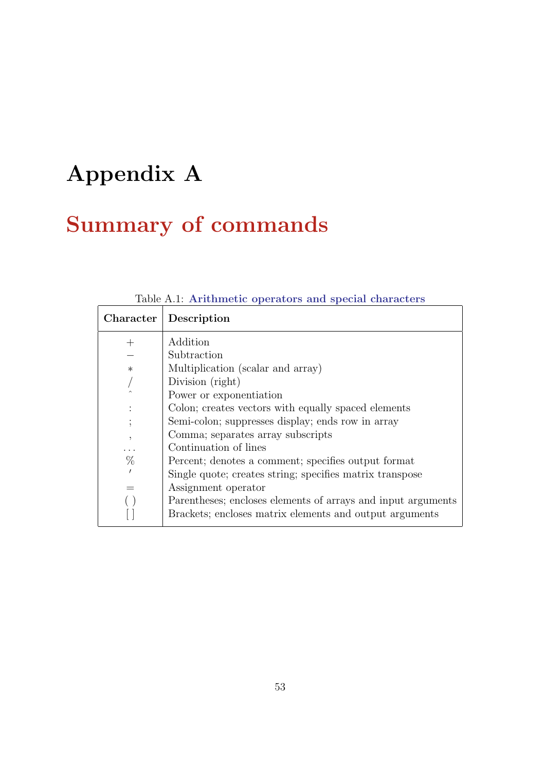# Appendix A

# Summary of commands

| $Character$ | Description                                                  |  |
|-------------|--------------------------------------------------------------|--|
|             | Addition                                                     |  |
|             | Subtraction                                                  |  |
| $\ast$      | Multiplication (scalar and array)                            |  |
|             | Division (right)                                             |  |
|             | Power or exponentiation                                      |  |
|             | Colon; creates vectors with equally spaced elements          |  |
|             | Semi-colon; suppresses display; ends row in array            |  |
| $\cdot$     | Comma; separates array subscripts                            |  |
|             | Continuation of lines                                        |  |
| %           | Percent; denotes a comment; specifies output format          |  |
|             | Single quote; creates string; specifies matrix transpose     |  |
|             | Assignment operator                                          |  |
|             | Parentheses; encloses elements of arrays and input arguments |  |
|             | Brackets; encloses matrix elements and output arguments      |  |

#### Table A.1: Arithmetic operators and special characters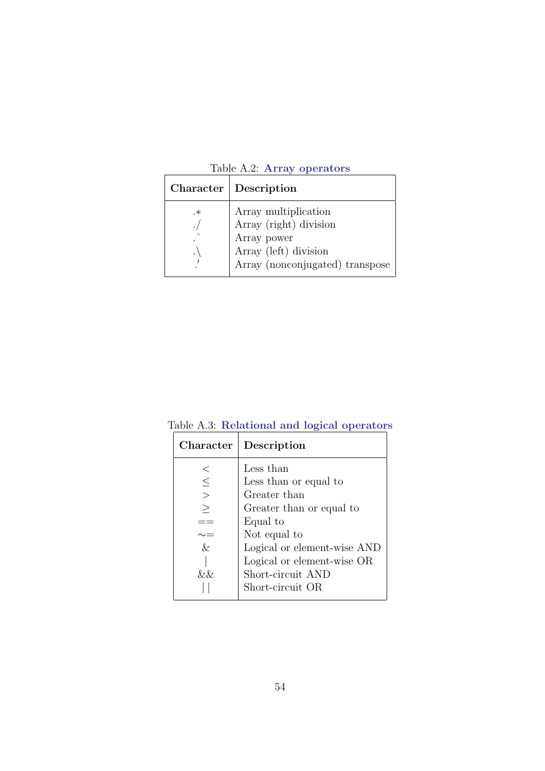|  |  | Table A.2: Array operators |
|--|--|----------------------------|
|--|--|----------------------------|

|                                          | Character   Description                                                                                                   |
|------------------------------------------|---------------------------------------------------------------------------------------------------------------------------|
| .∗<br>$\widehat{\phantom{1}}$<br>$\cdot$ | Array multiplication<br>Array (right) division<br>Array power<br>Array (left) division<br>Array (nonconjugated) transpose |
|                                          |                                                                                                                           |

| Character | Description                 |
|-----------|-----------------------------|
|           | Less than                   |
| $\leq$    | Less than or equal to       |
| $\geq$    | Greater than                |
| $\geq$    | Greater than or equal to    |
|           | Equal to                    |
|           | Not equal to                |
| &         | Logical or element-wise AND |
|           | Logical or element-wise OR  |
| &&.       | Short-circuit AND           |
|           | Short-circuit OR            |

Table A.3: Relational and logical operators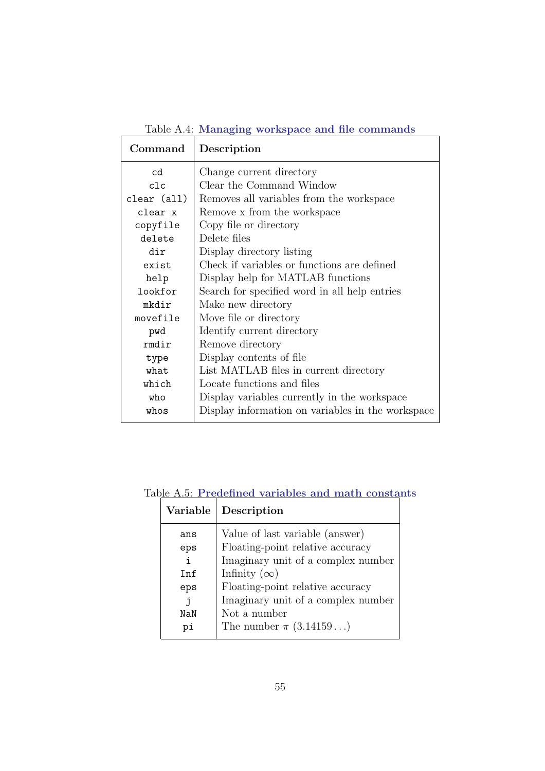| Command     | Description                                       |
|-------------|---------------------------------------------------|
| cd          | Change current directory                          |
| c1c         | Clear the Command Window                          |
| clear (all) | Removes all variables from the workspace          |
| clear x     | Remove x from the workspace                       |
| copyfile    | Copy file or directory                            |
| delete      | Delete files                                      |
| dir         | Display directory listing                         |
| exist       | Check if variables or functions are defined       |
| help        | Display help for MATLAB functions                 |
| lookfor     | Search for specified word in all help entries     |
| mkdir       | Make new directory                                |
| movefile    | Move file or directory                            |
| pwd         | Identify current directory                        |
| rmdir       | Remove directory                                  |
| type        | Display contents of file                          |
| what        | List MATLAB files in current directory            |
| which       | Locate functions and files                        |
| who         | Display variables currently in the workspace      |
| whos        | Display information on variables in the workspace |

Table A.4: Managing workspace and file commands

Table A.5: Predefined variables and math constants

| Variable   | Description                        |
|------------|------------------------------------|
| ans        | Value of last variable (answer)    |
| eps        | Floating-point relative accuracy   |
| i.         | Imaginary unit of a complex number |
| <b>Tnf</b> | Infinity $(\infty)$                |
| eps        | Floating-point relative accuracy   |
|            | Imaginary unit of a complex number |
| NaN        | Not a number                       |
| рi         | The number $\pi$ (3.14159)         |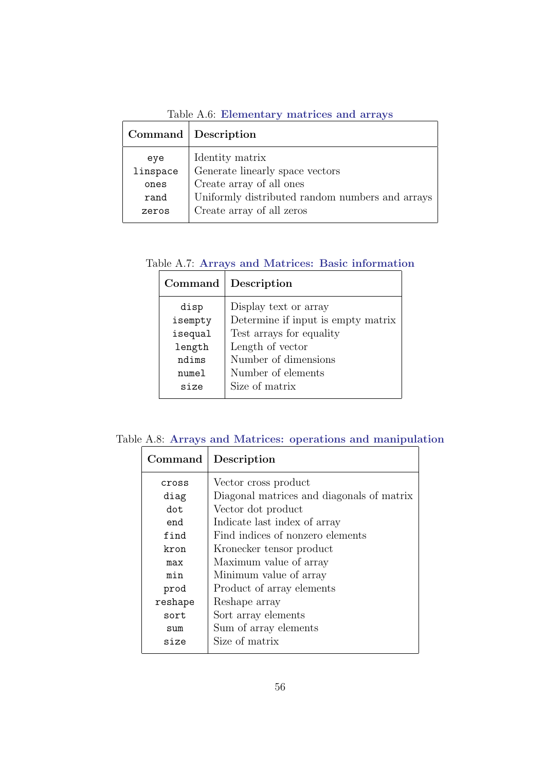Table A.6: Elementary matrices and arrays

|          | Command Description                             |
|----------|-------------------------------------------------|
| eye      | Identity matrix                                 |
| linspace | Generate linearly space vectors                 |
| ones     | Create array of all ones                        |
| rand     | Uniformly distributed random numbers and arrays |
| zeros    | Create array of all zeros                       |
|          |                                                 |

Table A.7: Arrays and Matrices: Basic information

| Command | Description                        |
|---------|------------------------------------|
| disp    | Display text or array              |
| isempty | Determine if input is empty matrix |
| isequal | Test arrays for equality           |
| length  | Length of vector                   |
| ndims   | Number of dimensions               |
| numel   | Number of elements                 |
| size    | Size of matrix                     |
|         |                                    |

Table A.8: Arrays and Matrices: operations and manipulation

| Command | Description                               |
|---------|-------------------------------------------|
| cross   | Vector cross product                      |
| diag    | Diagonal matrices and diagonals of matrix |
| dot.    | Vector dot product                        |
| end     | Indicate last index of array              |
| find    | Find indices of nonzero elements          |
| kron    | Kronecker tensor product                  |
| max     | Maximum value of array                    |
| min     | Minimum value of array                    |
| prod    | Product of array elements                 |
| reshape | Reshape array                             |
| sort    | Sort array elements                       |
| sum     | Sum of array elements                     |
| size    | Size of matrix                            |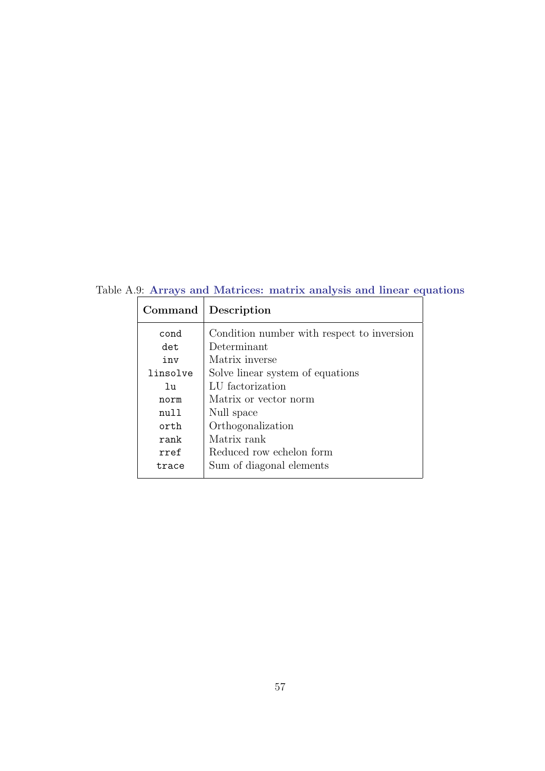Table A.9: Arrays and Matrices: matrix analysis and linear equations

| Command  | Description                                |
|----------|--------------------------------------------|
| cond     | Condition number with respect to inversion |
| det.     | Determinant                                |
| inv      | Matrix inverse                             |
| linsolve | Solve linear system of equations           |
| 111      | LU factorization                           |
| norm     | Matrix or vector norm                      |
| ກນ11     | Null space                                 |
| orth     | Orthogonalization                          |
| rank     | Matrix rank                                |
| rref     | Reduced row echelon form                   |
| trace    | Sum of diagonal elements                   |
|          |                                            |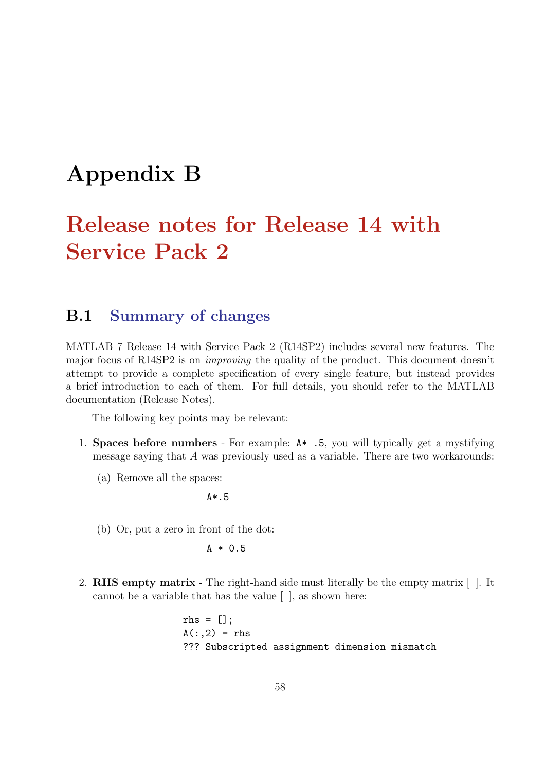# Appendix B

# Release notes for Release 14 with Service Pack 2

## B.1 Summary of changes

MATLAB 7 Release 14 with Service Pack 2 (R14SP2) includes several new features. The major focus of R14SP2 is on improving the quality of the product. This document doesn't attempt to provide a complete specification of every single feature, but instead provides a brief introduction to each of them. For full details, you should refer to the MATLAB documentation (Release Notes).

The following key points may be relevant:

- 1. Spaces before numbers For example: A\* .5, you will typically get a mystifying message saying that A was previously used as a variable. There are two workarounds:
	- (a) Remove all the spaces:

A\*.5

(b) Or, put a zero in front of the dot:

 $A * 0.5$ 

2. RHS empty matrix - The right-hand side must literally be the empty matrix [ ]. It cannot be a variable that has the value [ ], as shown here:

> rhs =  $[]$ ;  $A(:,2) =$ rhs ??? Subscripted assignment dimension mismatch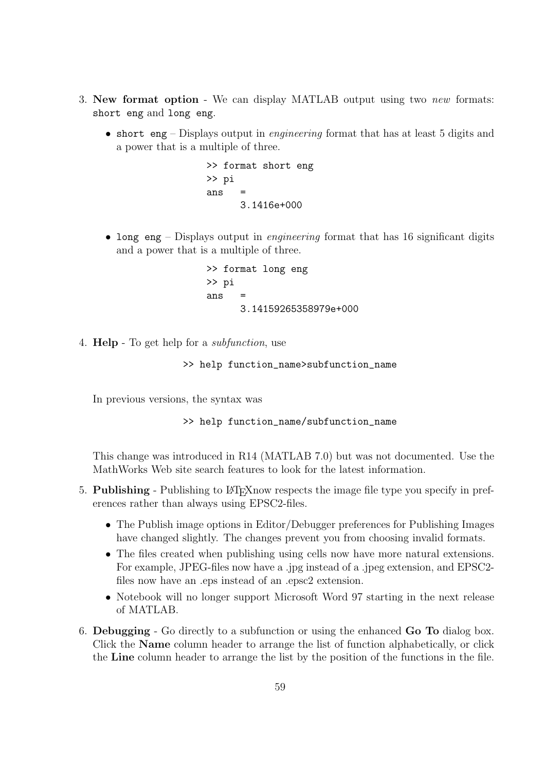- 3. New format option We can display MATLAB output using two new formats: short eng and long eng.
	- short eng Displays output in *engineering* format that has at least 5 digits and a power that is a multiple of three.

>> format short eng >> pi ans = 3.1416e+000

• long eng – Displays output in *engineering* format that has 16 significant digits and a power that is a multiple of three.

> >> format long eng >> pi ans = 3.14159265358979e+000

4. Help - To get help for a subfunction, use

>> help function\_name>subfunction\_name

In previous versions, the syntax was

>> help function\_name/subfunction\_name

This change was introduced in R14 (MATLAB 7.0) but was not documented. Use the MathWorks Web site search features to look for the latest information.

- 5. Publishing Publishing to LATEXnow respects the image file type you specify in preferences rather than always using EPSC2-files.
	- The Publish image options in Editor/Debugger preferences for Publishing Images have changed slightly. The changes prevent you from choosing invalid formats.
	- The files created when publishing using cells now have more natural extensions. For example, JPEG-files now have a .jpg instead of a .jpeg extension, and EPSC2 files now have an .eps instead of an .epsc2 extension.
	- Notebook will no longer support Microsoft Word 97 starting in the next release of MATLAB.
- 6. Debugging Go directly to a subfunction or using the enhanced Go To dialog box. Click the Name column header to arrange the list of function alphabetically, or click the Line column header to arrange the list by the position of the functions in the file.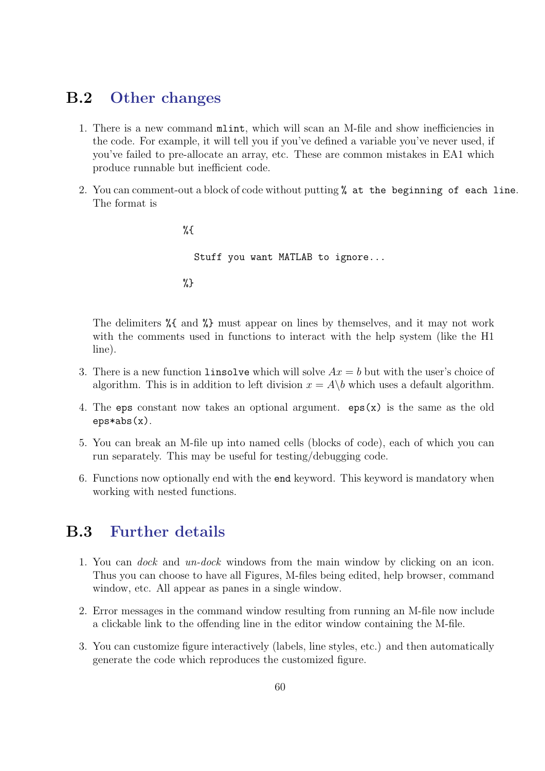## B.2 Other changes

- 1. There is a new command mlint, which will scan an M-file and show inefficiencies in the code. For example, it will tell you if you've defined a variable you've never used, if you've failed to pre-allocate an array, etc. These are common mistakes in EA1 which produce runnable but inefficient code.
- 2. You can comment-out a block of code without putting % at the beginning of each line. The format is

%{ Stuff you want MATLAB to ignore... %}

The delimiters %{ and %} must appear on lines by themselves, and it may not work with the comments used in functions to interact with the help system (like the H1 line).

- 3. There is a new function linsolve which will solve  $Ax = b$  but with the user's choice of algorithm. This is in addition to left division  $x = A\backslash b$  which uses a default algorithm.
- 4. The eps constant now takes an optional argument. eps(x) is the same as the old eps\*abs(x).
- 5. You can break an M-file up into named cells (blocks of code), each of which you can run separately. This may be useful for testing/debugging code.
- 6. Functions now optionally end with the end keyword. This keyword is mandatory when working with nested functions.

## B.3 Further details

- 1. You can dock and un-dock windows from the main window by clicking on an icon. Thus you can choose to have all Figures, M-files being edited, help browser, command window, etc. All appear as panes in a single window.
- 2. Error messages in the command window resulting from running an M-file now include a clickable link to the offending line in the editor window containing the M-file.
- 3. You can customize figure interactively (labels, line styles, etc.) and then automatically generate the code which reproduces the customized figure.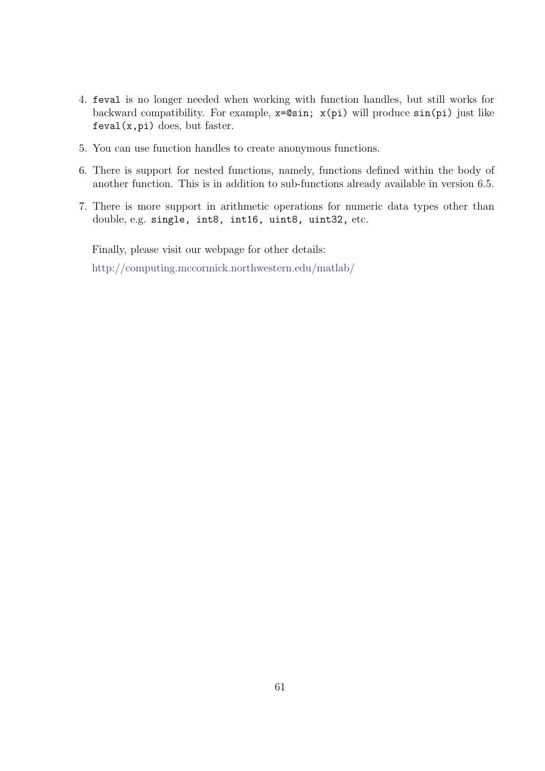- 4. feval is no longer needed when working with function handles, but still works for backward compatibility. For example, x=@sin; x(pi) will produce sin(pi) just like  $feval(x,pi)$  does, but faster.
- 5. You can use function handles to create anonymous functions.
- 6. There is support for nested functions, namely, functions defined within the body of another function. This is in addition to sub-functions already available in version 6.5.
- 7. There is more support in arithmetic operations for numeric data types other than double, e.g. single, int8, int16, uint8, uint32, etc.

Finally, please visit our webpage for other details: http://computing.mccormick.northwestern.edu/matlab/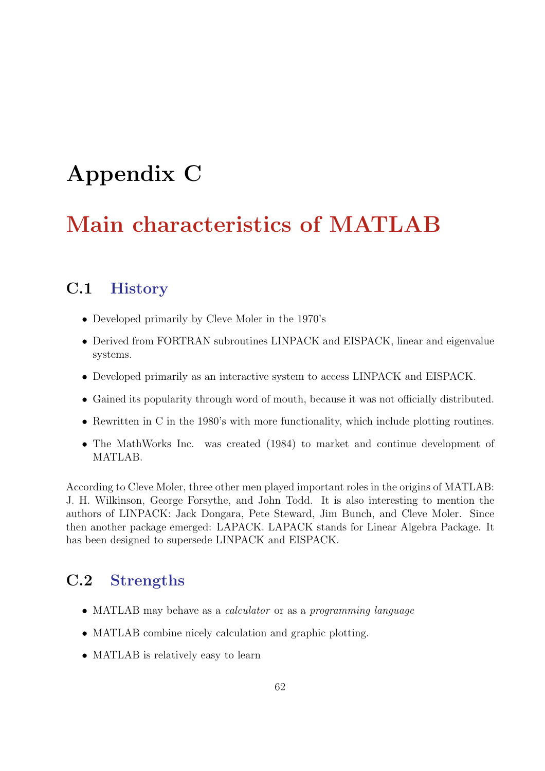# Appendix C

# Main characteristics of MATLAB

# C.1 History

- Developed primarily by Cleve Moler in the 1970's
- Derived from FORTRAN subroutines LINPACK and EISPACK, linear and eigenvalue systems.
- Developed primarily as an interactive system to access LINPACK and EISPACK.
- Gained its popularity through word of mouth, because it was not officially distributed.
- Rewritten in C in the 1980's with more functionality, which include plotting routines.
- The MathWorks Inc. was created (1984) to market and continue development of MATLAB.

According to Cleve Moler, three other men played important roles in the origins of MATLAB: J. H. Wilkinson, George Forsythe, and John Todd. It is also interesting to mention the authors of LINPACK: Jack Dongara, Pete Steward, Jim Bunch, and Cleve Moler. Since then another package emerged: LAPACK. LAPACK stands for Linear Algebra Package. It has been designed to supersede LINPACK and EISPACK.

# C.2 Strengths

- MATLAB may behave as a *calculator* or as a *programming language*
- MATLAB combine nicely calculation and graphic plotting.
- MATLAB is relatively easy to learn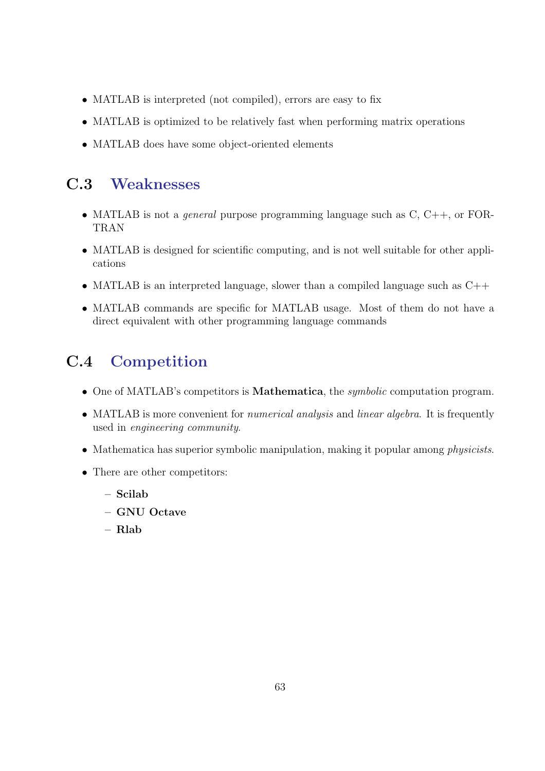- MATLAB is interpreted (not compiled), errors are easy to fix
- MATLAB is optimized to be relatively fast when performing matrix operations
- MATLAB does have some object-oriented elements

## C.3 Weaknesses

- MATLAB is not a *general* purpose programming language such as  $C, C++, or FOR-$ TRAN
- MATLAB is designed for scientific computing, and is not well suitable for other applications
- MATLAB is an interpreted language, slower than a compiled language such as  $C_{++}$
- MATLAB commands are specific for MATLAB usage. Most of them do not have a direct equivalent with other programming language commands

## C.4 Competition

- One of MATLAB's competitors is **Mathematica**, the *symbolic* computation program.
- MATLAB is more convenient for *numerical analysis* and *linear algebra*. It is frequently used in engineering community.
- Mathematica has superior symbolic manipulation, making it popular among *physicists*.
- There are other competitors:
	- Scilab
	- GNU Octave
	- Rlab